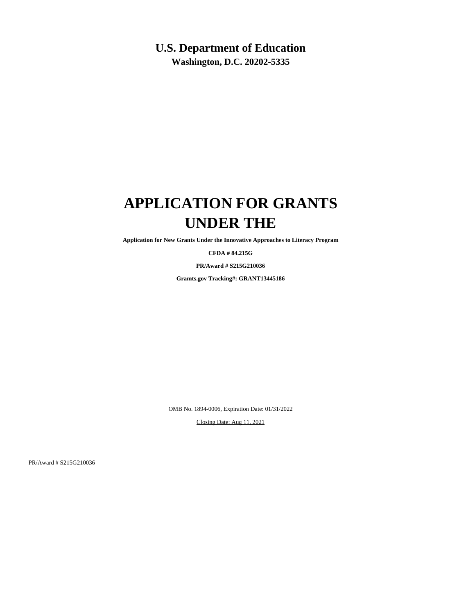## **U.S. Department of Education**

**Washington, D.C. 20202-5335**

## **APPLICATION FOR GRANTS UNDER THE**

**Application for New Grants Under the Innovative Approaches to Literacy Program**

**CFDA # 84.215G**

**PR/Award # S215G210036**

**Gramts.gov Tracking#: GRANT13445186**

OMB No. 1894-0006, Expiration Date: 01/31/2022

Closing Date: Aug 11, 2021

PR/Award # S215G210036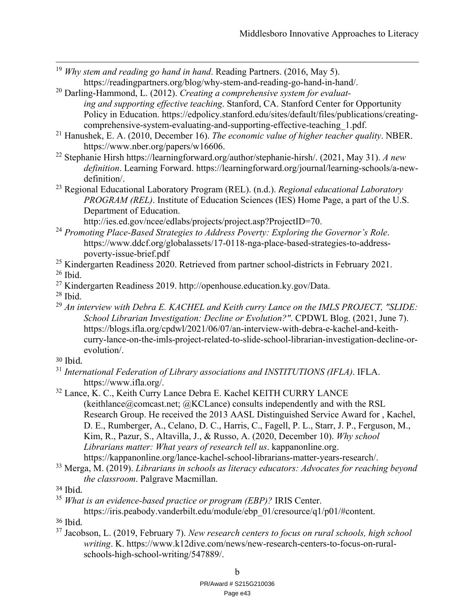- <sup>19</sup> *Why stem and reading go hand in hand*. Reading Partners. (2016, May 5). https://readingpartners.org/blog/why-stem-and-reading-go-hand-in-hand/.
- 20 Darling-Hammond, L. (2012). *Creating a comprehensive system for evaluating and supporting effective teaching*. Stanford, CA. Stanford Center for Opportunity Policy in Education. https://edpolicy.stanford.edu/sites/default/files/publications/creatingcomprehensive-system-evaluating-and-supporting-effective-teaching\_1.pdf.
- 21 Hanushek, E. A. (2010, December 16). *The economic value of higher teacher quality*. NBER. https://www.nber.org/papers/w16606.
- 22 Stephanie Hirsh https://learningforward.org/author/stephanie-hirsh/. (2021, May 31). *A new definition*. Learning Forward. https://learningforward.org/journal/learning-schools/a-newdefinition/.
- 23 Regional Educational Laboratory Program (REL). (n.d.). *Regional educational Laboratory PROGRAM (REL)*. Institute of Education Sciences (IES) Home Page, a part of the U.S. Department of Education.

http://ies.ed.gov/ncee/edlabs/projects/project.asp?ProjectID=70.

- <sup>24</sup> *Promoting Place-Based Strategies to Address Poverty: Exploring the Governor's Role*. https://www.ddcf.org/globalassets/17-0118-nga-place-based-strategies-to-addresspoverty-issue-brief.pdf
- <sup>25</sup> Kindergarten Readiness  $2020$ . Retrieved from partner school-districts in February 2021.  $26$  Ibid.
- 27 Kindergarten Readiness 2019. http://openhouse.education.ky.gov/Data.
- $28$  Ibid.

 $\overline{a}$ 

- <sup>29</sup> *An interview with Debra E. KACHEL and Keith curry Lance on the IMLS PROJECT, "SLIDE: School Librarian Investigation: Decline or Evolution?"*. CPDWL Blog. (2021, June 7). https://blogs.ifla.org/cpdwl/2021/06/07/an-interview-with-debra-e-kachel-and-keithcurry-lance-on-the-imls-project-related-to-slide-school-librarian-investigation-decline-orevolution/.
- 30 Ibid.
- <sup>31</sup> *International Federation of Library associations and INSTITUTIONS (IFLA)*. IFLA. https://www.ifla.org/.
- <sup>32</sup> Lance, K. C., Keith Curry Lance Debra E. Kachel KEITH CURRY LANCE (keithlance@comcast.net;  $@KCL$ ance) consults independently and with the RSL Research Group. He received the 2013 AASL Distinguished Service Award for , Kachel, D. E., Rumberger, A., Celano, D. C., Harris, C., Fagell, P. L., Starr, J. P., Ferguson, M., Kim, R., Pazur, S., Altavilla, J., & Russo, A. (2020, December 10). *Why school Librarians matter: What years of research tell us*. kappanonline.org. https://kappanonline.org/lance-kachel-school-librarians-matter-years-research/.
- 33 Merga, M. (2019). *Librarians in schools as literacy educators: Advocates for reaching beyond the classroom*. Palgrave Macmillan.

<sup>35</sup> *What is an evidence-based practice or program (EBP)?* IRIS Center.

https://iris.peabody.vanderbilt.edu/module/ebp\_01/cresource/q1/p01/#content.

- 36 Ibid.
- 37 Jacobson, L. (2019, February 7). *New research centers to focus on rural schools, high school writing*. K. https://www.k12dive.com/news/new-research-centers-to-focus-on-ruralschools-high-school-writing/547889/.

<sup>34</sup> Ibid.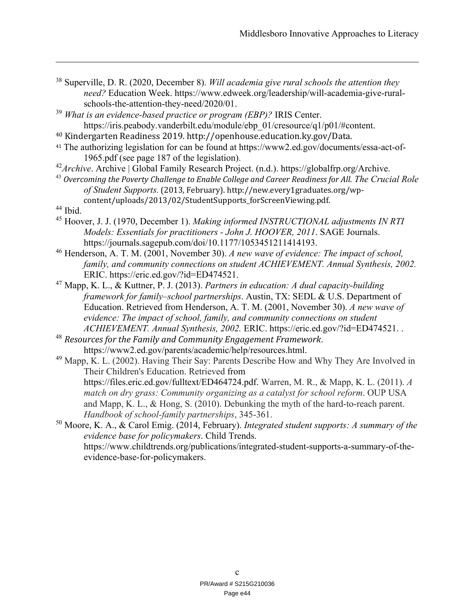- 38 Superville, D. R. (2020, December 8). *Will academia give rural schools the attention they need?* Education Week. https://www.edweek.org/leadership/will-academia-give-ruralschools-the-attention-they-need/2020/01.
- <sup>39</sup> *What is an evidence-based practice or program (EBP)?* IRIS Center. https://iris.peabody.vanderbilt.edu/module/ebp\_01/cresource/q1/p01/#content.
- 40 Kindergarten Readiness 2019. http://openhouse.education.ky.gov/Data.
- <sup>41</sup> The authorizing legislation for can be found at https://www2.ed.gov/documents/essa-act-of-1965.pdf (see page 187 of the legislation).
- <sup>42</sup>Archive. Archive | Global Family Research Project. (n.d.). https://globalfrp.org/Archive.
- <sup>43</sup> *Overcoming the Poverty Challenge to Enable College and Career Readiness for All*. *The Crucial Role of Student Supports.* (2013, February). http://new.every1graduates.org/wpcontent/uploads/2013/02/StudentSupports\_forScreenViewing.pdf.
- 44 Ibid.

 $\overline{a}$ 

- 45 Hoover, J. J. (1970, December 1). *Making informed INSTRUCTIONAL adjustments IN RTI Models: Essentials for practitioners - John J. HOOVER, 2011*. SAGE Journals. https://journals.sagepub.com/doi/10.1177/1053451211414193.
- 46 Henderson, A. T. M. (2001, November 30). *A new wave of evidence: The impact of school, family, and community connections on student ACHIEVEMENT. Annual Synthesis, 2002.* ERIC. https://eric.ed.gov/?id=ED474521.
- 47 Mapp, K. L., & Kuttner, P. J. (2013). *Partners in education: A dual capacity-building framework for family–school partnerships*. Austin, TX: SEDL & U.S. Department of Education. Retrieved from Henderson, A. T. M. (2001, November 30). *A new wave of evidence: The impact of school, family, and community connections on student ACHIEVEMENT. Annual Synthesis, 2002.* ERIC. https://eric.ed.gov/?id=ED474521. .
- <sup>48</sup> *Resources for the Family and Community Engagement Framework*. https://www2.ed.gov/parents/academic/help/resources.html.

<sup>49</sup> Mapp, K. L. (2002). Having Their Say: Parents Describe How and Why They Are Involved in Their Children's Education. Retrieved from https://files.eric.ed.gov/fulltext/ED464724.pdf. Warren, M. R., & Mapp, K. L. (2011). *A match on dry grass: Community organizing as a catalyst for school reform*. OUP USA and Mapp, K. L., & Hong, S. (2010). Debunking the myth of the hard-to-reach parent. *Handbook of school-family partnerships*, 345-361.

50 Moore, K. A., & Carol Emig. (2014, February). *Integrated student supports: A summary of the evidence base for policymakers*. Child Trends. https://www.childtrends.org/publications/integrated-student-supports-a-summary-of-theevidence-base-for-policymakers.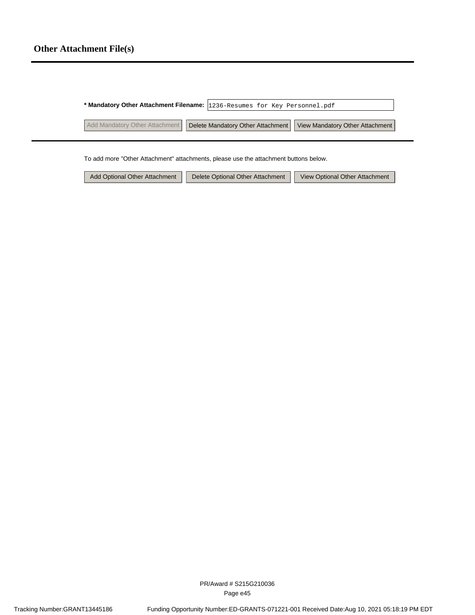# **Other Attachment File(s)**

|                                | * Mandatory Other Attachment Filename: 1236-Resumes for Key Personnel.pdf |                                                                     |
|--------------------------------|---------------------------------------------------------------------------|---------------------------------------------------------------------|
| Add Mandatory Other Attachment |                                                                           | Delete Mandatory Other Attachment   View Mandatory Other Attachment |

To add more "Other Attachment" attachments, please use the attachment buttons below.

| Add Optional Other Attachment | Delete Optional Other Attachment | View Optional Other Attachment |
|-------------------------------|----------------------------------|--------------------------------|
|-------------------------------|----------------------------------|--------------------------------|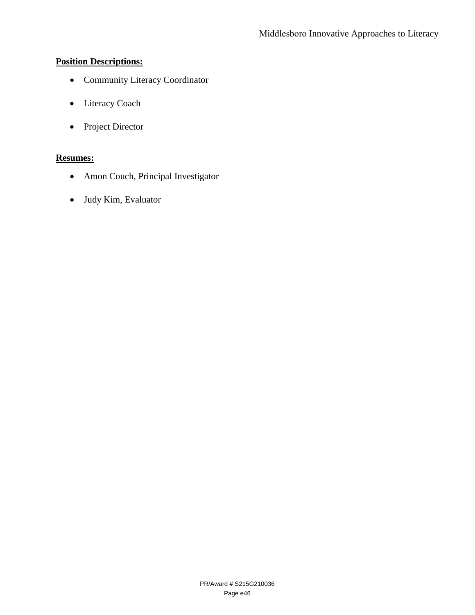# **Position Descriptions:**

- Community Literacy Coordinator
- Literacy Coach
- Project Director

# **Resumes:**

- Amon Couch, Principal Investigator
- Judy Kim, Evaluator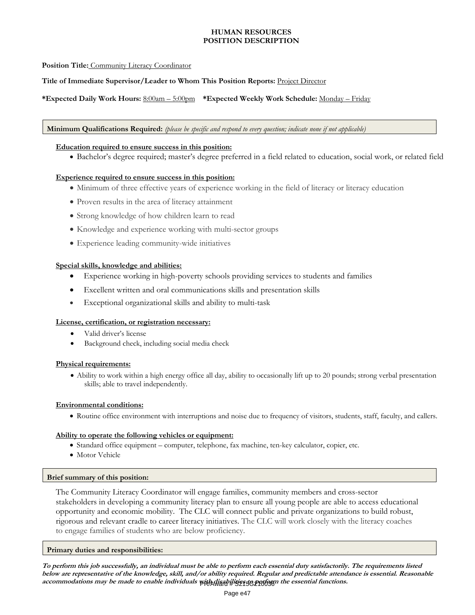### **HUMAN RESOURCES POSITION DESCRIPTION**

### **Position Title:** Community Literacy Coordinator

### **Title of Immediate Supervisor/Leader to Whom This Position Reports:** Project Director

### **\*Expected Daily Work Hours:** 8:00am – 5:00pm **\*Expected Weekly Work Schedule:** Monday – Friday

### **Minimum Qualifications Required:** *(please be specific and respond to every question; indicate none if not applicable)*

### **Education required to ensure success in this position:**

Bachelor's degree required; master's degree preferred in a field related to education, social work, or related field

### **Experience required to ensure success in this position:**

- Minimum of three effective years of experience working in the field of literacy or literacy education
- Proven results in the area of literacy attainment
- Strong knowledge of how children learn to read
- Knowledge and experience working with multi-sector groups
- Experience leading community-wide initiatives

### **Special skills, knowledge and abilities:**

- Experience working in high-poverty schools providing services to students and families
- Excellent written and oral communications skills and presentation skills
- Exceptional organizational skills and ability to multi-task

### **License, certification, or registration necessary:**

- Valid driver's license
- Background check, including social media check

### **Physical requirements:**

 Ability to work within a high energy office all day, ability to occasionally lift up to 20 pounds; strong verbal presentation skills; able to travel independently.

### **Environmental conditions:**

Routine office environment with interruptions and noise due to frequency of visitors, students, staff, faculty, and callers.

### **Ability to operate the following vehicles or equipment:**

- Standard office equipment computer, telephone, fax machine, ten-key calculator, copier, etc.
- Motor Vehicle

### **Brief summary of this position:**

The Community Literacy Coordinator will engage families, community members and cross-sector stakeholders in developing a community literacy plan to ensure all young people are able to access educational opportunity and economic mobility. The CLC will connect public and private organizations to build robust, rigorous and relevant cradle to career literacy initiatives. The CLC will work closely with the literacy coaches to engage families of students who are below proficiency.

### **Primary duties and responsibilities:**

**To perform this job successfully, an individual must be able to perform each essential duty satisfactorily. The requirements listed below are representative of the knowledge, skill, and/or ability required. Regular and predictable attendance is essential. Reasonable**  accommodations may be made to enable individuals with diath it is a geography the essential functions.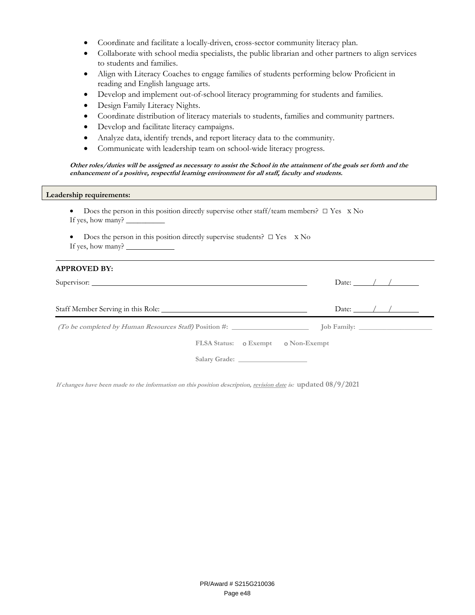- Coordinate and facilitate a locally-driven, cross-sector community literacy plan.
- Collaborate with school media specialists, the public librarian and other partners to align services to students and families.
- Align with Literacy Coaches to engage families of students performing below Proficient in reading and English language arts.
- Develop and implement out-of-school literacy programming for students and families.
- Design Family Literacy Nights.
- Coordinate distribution of literacy materials to students, families and community partners.
- Develop and facilitate literacy campaigns.
- Analyze data, identify trends, and report literacy data to the community.
- Communicate with leadership team on school-wide literacy progress.

**Other roles/duties will be assigned as necessary to assist the School in the attainment of the goals set forth and the enhancement of a positive, respectful learning environment for all staff, faculty and students.** 

### **Leadership requirements:**

- Does the person in this position directly supervise other staff/team members?□ Yes x No If yes, how many? \_
- Does the person in this position directly supervise students?  $\square$  Yes  $\times$  No If yes, how many?

| <b>APPROVED BY:</b>                |                             |
|------------------------------------|-----------------------------|
|                                    | Date: $\angle$ / /          |
|                                    | Date: $\angle$ / / $\angle$ |
|                                    |                             |
| FLSA Status: 0 Exempt 0 Non-Exempt |                             |
|                                    |                             |

**If changes have been made to the information on this position description, revision date is: updated 08/9/2021**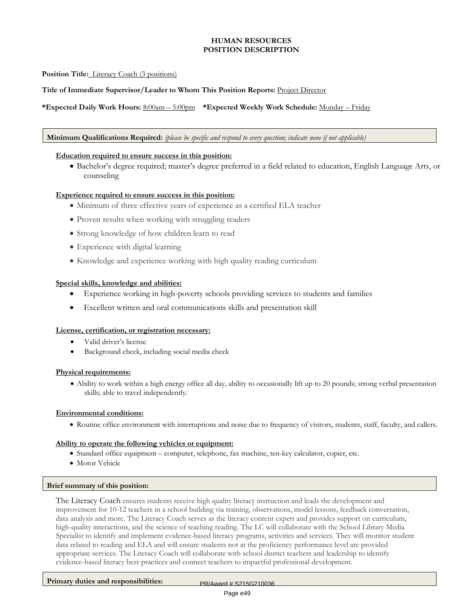### **HUMAN RESOURCES POSITION DESCRIPTION**

### **Position Title:** Literacy Coach (3 positions)

### **Title of Immediate Supervisor/Leader to Whom This Position Reports:** Project Director

### **\*Expected Daily Work Hours:** 8:00am – 5:00pm **\*Expected Weekly Work Schedule:** Monday – Friday

### **Minimum Qualifications Required:** *(please be specific and respond to every question; indicate none if not applicable)*

### **Education required to ensure success in this position:**

 Bachelor's degree required; master's degree preferred in a field related to education, English Language Arts, or counseling

### **Experience required to ensure success in this position:**

- Minimum of three effective years of experience as a certified ELA teacher
- Proven results when working with struggling readers
- Strong knowledge of how children learn to read
- Experience with digital learning
- Knowledge and experience working with high quality reading curriculum

### **Special skills, knowledge and abilities:**

- Experience working in high-poverty schools providing services to students and families
- Excellent written and oral communications skills and presentation skill

### **License, certification, or registration necessary:**

- Valid driver's license
- Background check, including social media check

### **Physical requirements:**

 Ability to work within a high energy office all day, ability to occasionally lift up to 20 pounds; strong verbal presentation skills; able to travel independently.

### **Environmental conditions:**

Routine office environment with interruptions and noise due to frequency of visitors, students, staff, faculty, and callers.

### **Ability to operate the following vehicles or equipment:**

- Standard office equipment computer, telephone, fax machine, ten-key calculator, copier, etc.
- Motor Vehicle

#### **Brief summary of this position:**

The Literacy Coach ensures students receive high quality literacy instruction and leads the development and improvement for 10-12 teachers in a school building via training, observations, model lessons, feedback conversation, data analysis and more. The Literacy Coach serves as the literacy content expert and provides support on curriculum, high-quality interactions, and the science of teaching reading. The LC will collaborate with the School Library Media Specialist to identify and implement evidence-based literacy programs, activities and services. They will monitor student data related to reading and ELA and will ensure students not at the proficiency performance level are provided appropriate services. The Literacy Coach will collaborate with school district teachers and leadership to identify evidence-based literacy best-practices and connect teachers to impactful professional development.

Primary duties and responsibilities: PR/Award # S215G210036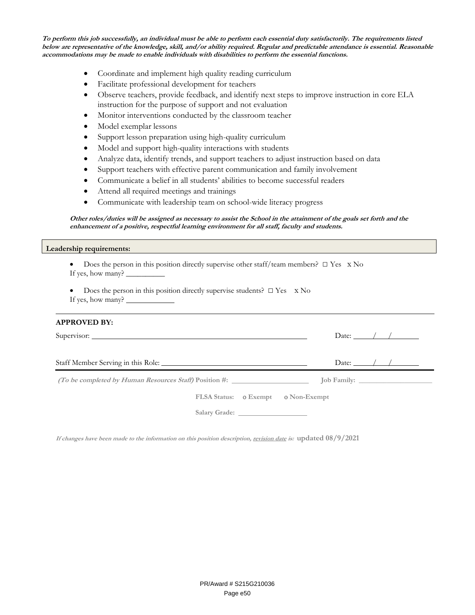**To perform this job successfully, an individual must be able to perform each essential duty satisfactorily. The requirements listed below are representative of the knowledge, skill, and/or ability required. Regular and predictable attendance is essential. Reasonable accommodations may be made to enable individuals with disabilities to perform the essential functions.** 

- Coordinate and implement high quality reading curriculum
- Facilitate professional development for teachers
- Observe teachers, provide feedback, and identify next steps to improve instruction in core ELA instruction for the purpose of support and not evaluation
- Monitor interventions conducted by the classroom teacher
- Model exemplar lessons
- Support lesson preparation using high-quality curriculum
- Model and support high-quality interactions with students
- Analyze data, identify trends, and support teachers to adjust instruction based on data
- Support teachers with effective parent communication and family involvement
- Communicate a belief in all students' abilities to become successful readers
- Attend all required meetings and trainings
- Communicate with leadership team on school-wide literacy progress

### **Other roles/duties will be assigned as necessary to assist the School in the attainment of the goals set forth and the enhancement of a positive, respectful learning environment for all staff, faculty and students.**

### **Leadership requirements:**

| • Does the person in this position directly supervise other staff/team members? $\Box$ Yes $\angle$ No |  |
|--------------------------------------------------------------------------------------------------------|--|
| If yes, how many? __                                                                                   |  |

Does the person in this position directly supervise students?  $\square$  Yes  $\times$  No If yes, how many?

### **APPROVED BY:**

| Supervisor:                        | Date: $\angle$ / / $\angle$ |
|------------------------------------|-----------------------------|
| Staff Member Serving in this Role: | Date: $\angle$ / / $\angle$ |
|                                    |                             |
| FLSA Status: 0 Exempt 0 Non-Exempt |                             |
|                                    |                             |

**If changes have been made to the information on this position description, revision date is: updated 08/9/2021**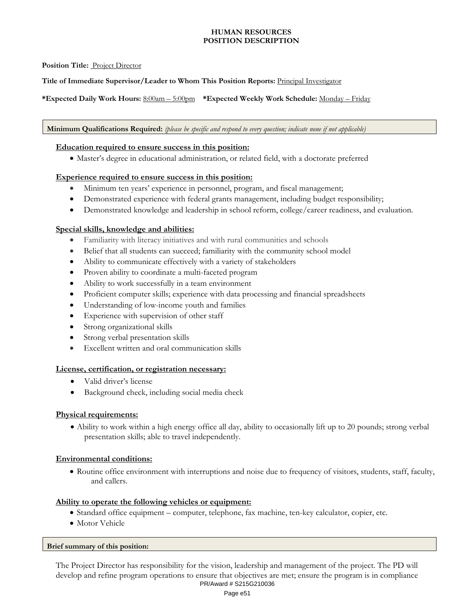### **HUMAN RESOURCES POSITION DESCRIPTION**

### **Position Title:** Project Director

**Title of Immediate Supervisor/Leader to Whom This Position Reports:** Principal Investigator

**\*Expected Daily Work Hours:** 8:00am – 5:00pm **\*Expected Weekly Work Schedule:** Monday – Friday

**Minimum Qualifications Required:** *(please be specific and respond to every question; indicate none if not applicable)*

### **Education required to ensure success in this position:**

Master's degree in educational administration, or related field, with a doctorate preferred

### **Experience required to ensure success in this position:**

- Minimum ten years' experience in personnel, program, and fiscal management;
- Demonstrated experience with federal grants management, including budget responsibility;
- Demonstrated knowledge and leadership in school reform, college/career readiness, and evaluation.

### **Special skills, knowledge and abilities:**

- Familiarity with literacy initiatives and with rural communities and schools
- Belief that all students can succeed; familiarity with the community school model
- Ability to communicate effectively with a variety of stakeholders
- Proven ability to coordinate a multi-faceted program
- Ability to work successfully in a team environment
- Proficient computer skills; experience with data processing and financial spreadsheets
- Understanding of low-income youth and families
- Experience with supervision of other staff
- Strong organizational skills
- Strong verbal presentation skills
- Excellent written and oral communication skills

### **License, certification, or registration necessary:**

- Valid driver's license
- Background check, including social media check

### **Physical requirements:**

 Ability to work within a high energy office all day, ability to occasionally lift up to 20 pounds; strong verbal presentation skills; able to travel independently.

### **Environmental conditions:**

 Routine office environment with interruptions and noise due to frequency of visitors, students, staff, faculty, and callers.

### **Ability to operate the following vehicles or equipment:**

- Standard office equipment computer, telephone, fax machine, ten-key calculator, copier, etc.
- Motor Vehicle

### **Brief summary of this position:**

The Project Director has responsibility for the vision, leadership and management of the project. The PD will develop and refine program operations to ensure that objectives are met; ensure the program is in compliance PR/Award # S215G210036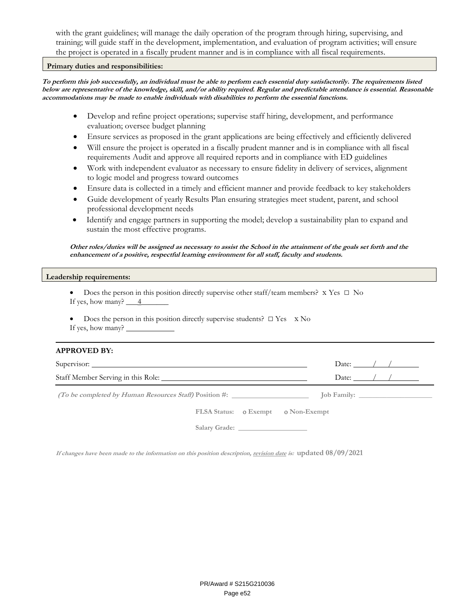with the grant guidelines; will manage the daily operation of the program through hiring, supervising, and training; will guide staff in the development, implementation, and evaluation of program activities; will ensure the project is operated in a fiscally prudent manner and is in compliance with all fiscal requirements.

### **Primary duties and responsibilities:**

**To perform this job successfully, an individual must be able to perform each essential duty satisfactorily. The requirements listed below are representative of the knowledge, skill, and/or ability required. Regular and predictable attendance is essential. Reasonable accommodations may be made to enable individuals with disabilities to perform the essential functions.** 

- Develop and refine project operations; supervise staff hiring, development, and performance evaluation; oversee budget planning
- Ensure services as proposed in the grant applications are being effectively and efficiently delivered
- Will ensure the project is operated in a fiscally prudent manner and is in compliance with all fiscal requirements Audit and approve all required reports and in compliance with ED guidelines
- Work with independent evaluator as necessary to ensure fidelity in delivery of services, alignment to logic model and progress toward outcomes
- Ensure data is collected in a timely and efficient manner and provide feedback to key stakeholders
- Guide development of yearly Results Plan ensuring strategies meet student, parent, and school professional development needs
- Identify and engage partners in supporting the model; develop a sustainability plan to expand and sustain the most effective programs.

**Other roles/duties will be assigned as necessary to assist the School in the attainment of the goals set forth and the enhancement of a positive, respectful learning environment for all staff, faculty and students.** 

### **Leadership requirements:**

- Does the person in this position directly supervise other staff/team members?x Yes □ No If yes, how many?  $\frac{4}{-}$
- Does the person in this position directly supervise students?  $\square$  Yes  $\times$  No If yes, how many?

#### **APPROVED BY:**

|                                                                                           | Date: $\frac{1}{2}$ /              |
|-------------------------------------------------------------------------------------------|------------------------------------|
|                                                                                           | Date: $/$ /                        |
| <i>(To be completed by Human Resources Staff)</i> Position #: $\qquad \qquad$ [ob Family: |                                    |
|                                                                                           | FLSA Status: 0 Exempt 0 Non-Exempt |
|                                                                                           |                                    |

**If changes have been made to the information on this position description, revision date is: updated 08/09/2021**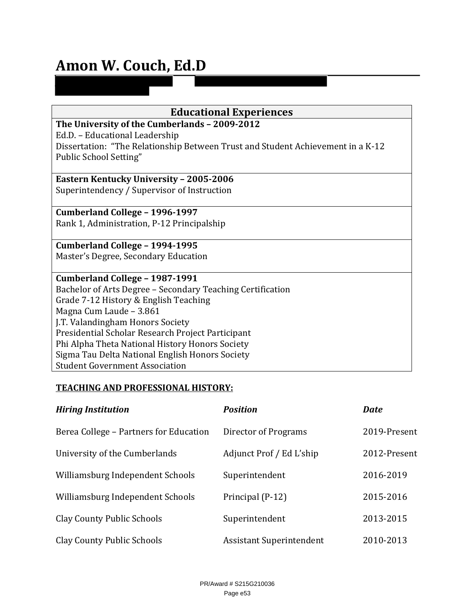# **Amon W. Couch, Ed.D**

| <b>Educational Experiences</b>                                                  |  |  |  |
|---------------------------------------------------------------------------------|--|--|--|
| The University of the Cumberlands - 2009-2012                                   |  |  |  |
| Ed.D. - Educational Leadership                                                  |  |  |  |
| Dissertation: "The Relationship Between Trust and Student Achievement in a K-12 |  |  |  |
| Public School Setting"                                                          |  |  |  |
|                                                                                 |  |  |  |
| <b>Eastern Kentucky University - 2005-2006</b>                                  |  |  |  |
| Superintendency / Supervisor of Instruction                                     |  |  |  |
|                                                                                 |  |  |  |
| Cumberland College - 1996-1997                                                  |  |  |  |
| Rank 1, Administration, P-12 Principalship                                      |  |  |  |
|                                                                                 |  |  |  |
| Cumberland College - 1994-1995                                                  |  |  |  |
| Master's Degree, Secondary Education                                            |  |  |  |
|                                                                                 |  |  |  |
| Cumberland College - 1987-1991                                                  |  |  |  |
| Bachelor of Arts Degree - Secondary Teaching Certification                      |  |  |  |
| Grade 7-12 History & English Teaching                                           |  |  |  |
| Magna Cum Laude - 3.861                                                         |  |  |  |
| J.T. Valandingham Honors Society                                                |  |  |  |
| Presidential Scholar Research Project Participant                               |  |  |  |
| Phi Alpha Theta National History Honors Society                                 |  |  |  |
| Sigma Tau Delta National English Honors Society                                 |  |  |  |
| <b>Student Government Association</b>                                           |  |  |  |

# **TEACHING AND PROFESSIONAL HISTORY:**

| <b>Hiring Institution</b>              | <b>Position</b>                 | <b>Date</b>  |
|----------------------------------------|---------------------------------|--------------|
| Berea College – Partners for Education | Director of Programs            | 2019-Present |
| University of the Cumberlands          | Adjunct Prof / Ed L'ship        | 2012-Present |
| Williamsburg Independent Schools       | Superintendent                  | 2016-2019    |
| Williamsburg Independent Schools       | Principal (P-12)                | 2015-2016    |
| <b>Clay County Public Schools</b>      | Superintendent                  | 2013-2015    |
| <b>Clay County Public Schools</b>      | <b>Assistant Superintendent</b> | 2010-2013    |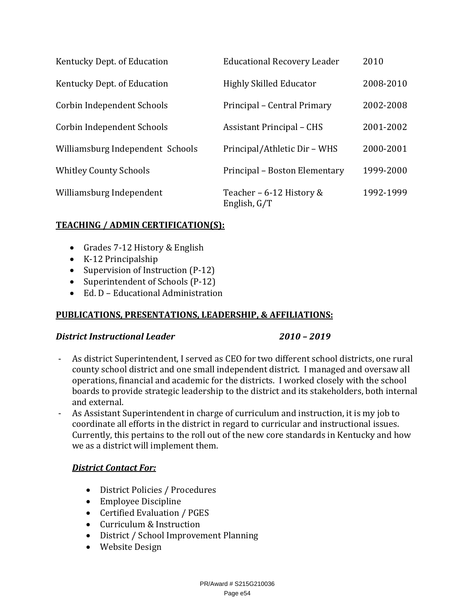| Kentucky Dept. of Education      | <b>Educational Recovery Leader</b>       | 2010      |
|----------------------------------|------------------------------------------|-----------|
| Kentucky Dept. of Education      | <b>Highly Skilled Educator</b>           | 2008-2010 |
| Corbin Independent Schools       | Principal – Central Primary              | 2002-2008 |
| Corbin Independent Schools       | <b>Assistant Principal - CHS</b>         | 2001-2002 |
| Williamsburg Independent Schools | Principal/Athletic Dir - WHS             | 2000-2001 |
| <b>Whitley County Schools</b>    | Principal – Boston Elementary            | 1999-2000 |
| Williamsburg Independent         | Teacher - 6-12 History &<br>English, G/T | 1992-1999 |

# **TEACHING / ADMIN CERTIFICATION(S):**

- Grades 7-12 History & English
- K-12 Principalship
- Supervision of Instruction (P-12)
- Superintendent of Schools (P-12)
- Ed. D Educational Administration

# **PUBLICATIONS, PRESENTATIONS, LEADERSHIP, & AFFILIATIONS:**

# *District Instructional Leader 2010 – 2019*

- As district Superintendent, I served as CEO for two different school districts, one rural county school district and one small independent district. I managed and oversaw all operations, financial and academic for the districts. I worked closely with the school boards to provide strategic leadership to the district and its stakeholders, both internal and external.
- As Assistant Superintendent in charge of curriculum and instruction, it is my job to coordinate all efforts in the district in regard to curricular and instructional issues. Currently, this pertains to the roll out of the new core standards in Kentucky and how we as a district will implement them.

# *District Contact For:*

- District Policies / Procedures
- Employee Discipline
- Certified Evaluation / PGES
- Curriculum & Instruction
- District / School Improvement Planning
- Website Design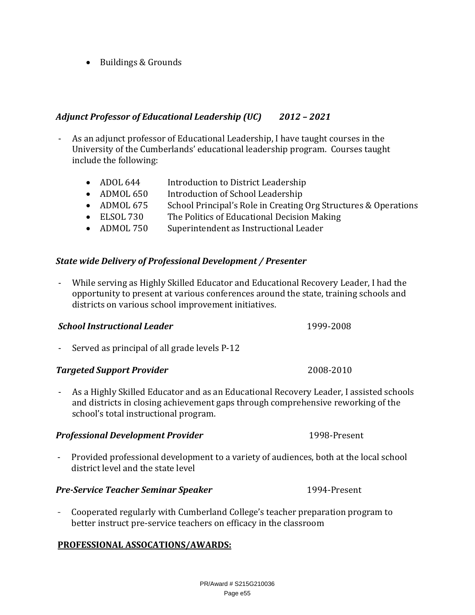PR/Award # S215G210036 Page e55

• Buildings & Grounds

# *Adjunct Professor of Educational Leadership (UC) 2012 – 2021*

- As an adjunct professor of Educational Leadership, I have taught courses in the University of the Cumberlands' educational leadership program. Courses taught include the following:
	- ADOL 644 Introduction to District Leadership
	- ADMOL 650 Introduction of School Leadership
	- ADMOL 675 School Principal's Role in Creating Org Structures & Operations
	- ELSOL 730 The Politics of Educational Decision Making
	- ADMOL 750 Superintendent as Instructional Leader

# *State wide Delivery of Professional Development / Presenter*

- While serving as Highly Skilled Educator and Educational Recovery Leader, I had the opportunity to present at various conferences around the state, training schools and districts on various school improvement initiatives.

# *School Instructional Leader* 1999-2008

- Served as principal of all grade levels P-12

# **Targeted Support Provider** *COOS-2010 COOS-2010*

- As a Highly Skilled Educator and as an Educational Recovery Leader, I assisted schools and districts in closing achievement gaps through comprehensive reworking of the school's total instructional program.

# **Professional Development Provider** 1998-Present

- Provided professional development to a variety of audiences, both at the local school district level and the state level

# *Pre‐Service Teacher Seminar Speaker* 1994-Present

- Cooperated regularly with Cumberland College's teacher preparation program to better instruct pre-service teachers on efficacy in the classroom

# **PROFESSIONAL ASSOCATIONS/AWARDS:**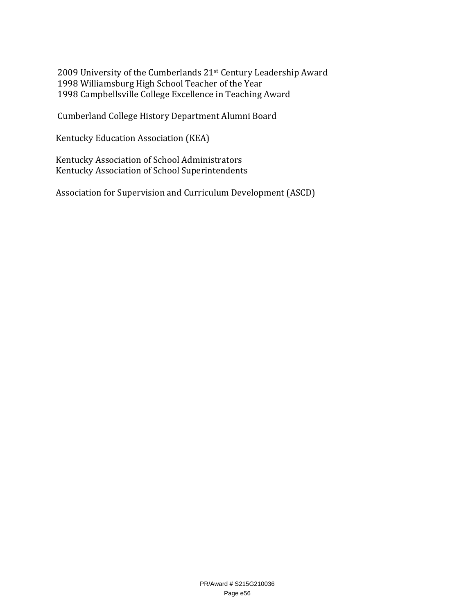2009 University of the Cumberlands 21st Century Leadership Award 1998 Williamsburg High School Teacher of the Year 1998 Campbellsville College Excellence in Teaching Award

Cumberland College History Department Alumni Board

Kentucky Education Association (KEA)

Kentucky Association of School Administrators Kentucky Association of School Superintendents

Association for Supervision and Curriculum Development (ASCD)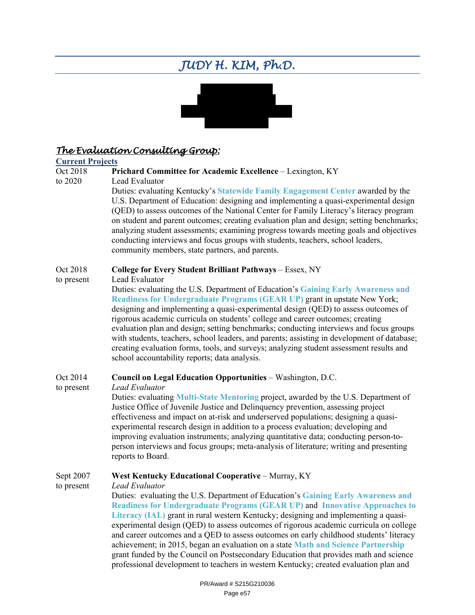# *JUDY H. KIM, Ph.D.*



# *The Evaluation Consulting Group:*

# **Current Projects**

### Prichard Committee for Academic Excellence - Lexington, KY

to 2020 Lead Evaluator

Duties: evaluating Kentucky's **Statewide Family Engagement Center** awarded by the U.S. Department of Education: designing and implementing a quasi-experimental design (QED) to assess outcomes of the National Center for Family Literacy's literacy program on student and parent outcomes; creating evaluation plan and design; setting benchmarks; analyzing student assessments; examining progress towards meeting goals and objectives conducting interviews and focus groups with students, teachers, school leaders, community members, state partners, and parents.

### Oct 2018 **College for Every Student Brilliant Pathways** – Essex, NY

to present Lead Evaluator

Duties: evaluating the U.S. Department of Education's **Gaining Early Awareness and Readiness for Undergraduate Programs (GEAR UP)** grant in upstate New York; designing and implementing a quasi-experimental design (QED) to assess outcomes of rigorous academic curricula on students' college and career outcomes; creating evaluation plan and design; setting benchmarks; conducting interviews and focus groups with students, teachers, school leaders, and parents; assisting in development of database; creating evaluation forms, tools, and surveys; analyzing student assessment results and school accountability reports; data analysis.

# Oct 2014 **Council on Legal Education Opportunities** – Washington, D.C.

to present *Lead Evaluator*

Duties: evaluating **Multi-State Mentoring** project, awarded by the U.S. Department of Justice Office of Juvenile Justice and Delinquency prevention, assessing project effectiveness and impact on at-risk and underserved populations; designing a quasiexperimental research design in addition to a process evaluation; developing and improving evaluation instruments; analyzing quantitative data; conducting person-toperson interviews and focus groups; meta-analysis of literature; writing and presenting reports to Board.

# Sept 2007 **West Kentucky Educational Cooperative** – Murray, KY

to present *Lead Evaluator* Duties: evaluating the U.S. Department of Education's **Gaining Early Awareness and Readiness for Undergraduate Programs (GEAR UP)** and **Innovative Approaches to Literacy (IAL)** grant in rural western Kentucky; designing and implementing a quasiexperimental design (QED) to assess outcomes of rigorous academic curricula on college and career outcomes and a QED to assess outcomes on early childhood students' literacy achievement; in 2015, began an evaluation on a state **Math and Science Partnership** grant funded by the Council on Postsecondary Education that provides math and science professional development to teachers in western Kentucky; created evaluation plan and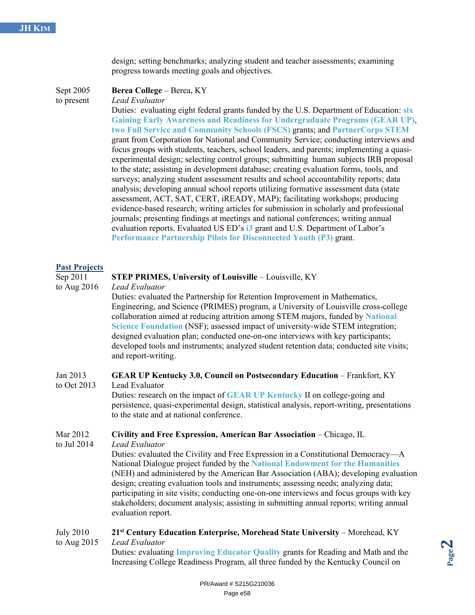design; setting benchmarks; analyzing student and teacher assessments; examining progress towards meeting goals and objectives.

Sept 2005 **Berea College** – Berea, KY

to present *Lead Evaluator*

Duties: evaluating eight federal grants funded by the U.S. Department of Education: **six Gaining Early Awareness and Readiness for Undergraduate Programs (GEAR UP)**, **two Full Service and Community Schools (FSCS)** grants; and **PartnerCorps STEM** grant from Corporation for National and Community Service; conducting interviews and focus groups with students, teachers, school leaders, and parents; implementing a quasiexperimental design; selecting control groups; submitting human subjects IRB proposal to the state; assisting in development database; creating evaluation forms, tools, and surveys; analyzing student assessment results and school accountability reports; data analysis; developing annual school reports utilizing formative assessment data (state assessment, ACT, SAT, CERT, iREADY, MAP); facilitating workshops; producing evidence-based research; writing articles for submission in scholarly and professional journals; presenting findings at meetings and national conferences; writing annual evaluation reports. Evaluated US ED's **i3** grant and U.S. Department of Labor's **Performance Partnership Pilots for Disconnected Youth (P3)** grant.

### **Past Projects**

### Sep 2011 **STEP PRIMES, University of Louisville** – Louisville, KY

to Aug 2016 *Lead Evaluator*

Duties: evaluated the Partnership for Retention Improvement in Mathematics, Engineering, and Science (PRIMES) program, a University of Louisville cross-college collaboration aimed at reducing attrition among STEM majors, funded by **National Science Foundation** (NSF); assessed impact of university-wide STEM integration; designed evaluation plan; conducted one-on-one interviews with key participants; developed tools and instruments; analyzed student retention data; conducted site visits; and report-writing.

# Jan 2013 **GEAR UP Kentucky 3.0, Council on Postsecondary Education** – Frankfort, KY

to Oct 2013 Lead Evaluator Duties: research on the impact of **GEAR UP Kentucky** II on college-going and persistence, quasi-experimental design, statistical analysis, report-writing, presentations to the state and at national conference.

### Mar 2012 **Civility and Free Expression, American Bar Association** – Chicago, IL

to Jul 2014 *Lead Evaluator*

Duties: evaluated the Civility and Free Expression in a Constitutional Democracy—A National Dialogue project funded by the **National Endowment for the Humanities** (NEH) and administered by the American Bar Association (ABA); developing evaluation design; creating evaluation tools and instruments; assessing needs; analyzing data; participating in site visits; conducting one-on-one interviews and focus groups with key stakeholders; document analysis; assisting in submitting annual reports; writing annual evaluation report.

### July 2010 **21st Century Education Enterprise, Morehead State University** – Morehead, KY to Aug 2015 *Lead Evaluator*

Duties: evaluating **Improving Educator Quality** grants for Reading and Math and the Increasing College Readiness Program, all three funded by the Kentucky Council on

**Page 2**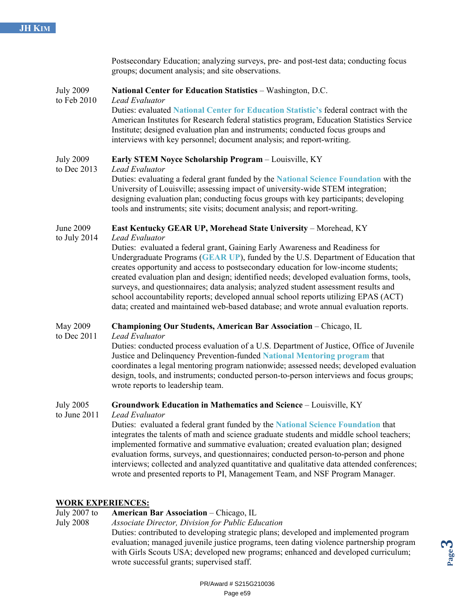|                                 | Postsecondary Education; analyzing surveys, pre- and post-test data; conducting focus<br>groups; document analysis; and site observations.                                                                                                                                                                                                                                                                                                                                                                                                                                                                                                                                                                      |
|---------------------------------|-----------------------------------------------------------------------------------------------------------------------------------------------------------------------------------------------------------------------------------------------------------------------------------------------------------------------------------------------------------------------------------------------------------------------------------------------------------------------------------------------------------------------------------------------------------------------------------------------------------------------------------------------------------------------------------------------------------------|
| <b>July 2009</b><br>to Feb 2010 | National Center for Education Statistics - Washington, D.C.<br>Lead Evaluator<br>Duties: evaluated National Center for Education Statistic's federal contract with the<br>American Institutes for Research federal statistics program, Education Statistics Service<br>Institute; designed evaluation plan and instruments; conducted focus groups and<br>interviews with key personnel; document analysis; and report-writing.                                                                                                                                                                                                                                                                                 |
| <b>July 2009</b><br>to Dec 2013 | Early STEM Noyce Scholarship Program - Louisville, KY<br>Lead Evaluator<br>Duties: evaluating a federal grant funded by the National Science Foundation with the<br>University of Louisville; assessing impact of university-wide STEM integration;<br>designing evaluation plan; conducting focus groups with key participants; developing<br>tools and instruments; site visits; document analysis; and report-writing.                                                                                                                                                                                                                                                                                       |
| June 2009<br>to July $2014$     | East Kentucky GEAR UP, Morehead State University - Morehead, KY<br>Lead Evaluator<br>Duties: evaluated a federal grant, Gaining Early Awareness and Readiness for<br>Undergraduate Programs (GEAR UP), funded by the U.S. Department of Education that<br>creates opportunity and access to postsecondary education for low-income students;<br>created evaluation plan and design; identified needs; developed evaluation forms, tools,<br>surveys, and questionnaires; data analysis; analyzed student assessment results and<br>school accountability reports; developed annual school reports utilizing EPAS (ACT)<br>data; created and maintained web-based database; and wrote annual evaluation reports. |
| May 2009<br>to Dec 2011         | Championing Our Students, American Bar Association - Chicago, IL<br>Lead Evaluator<br>Duties: conducted process evaluation of a U.S. Department of Justice, Office of Juvenile<br>Justice and Delinguency Prevention-funded National Mentoring program that                                                                                                                                                                                                                                                                                                                                                                                                                                                     |

Jelinquency Prevention-funded National Mentoring program that coordinates a legal mentoring program nationwide; assessed needs; developed evaluation design, tools, and instruments; conducted person-to-person interviews and focus groups; wrote reports to leadership team.

# July 2005 **Groundwork Education in Mathematics and Science** – Louisville, KY

to June 2011 *Lead Evaluator*

Duties: evaluated a federal grant funded by the **National Science Foundation** that integrates the talents of math and science graduate students and middle school teachers; implemented formative and summative evaluation; created evaluation plan; designed evaluation forms, surveys, and questionnaires; conducted person-to-person and phone interviews; collected and analyzed quantitative and qualitative data attended conferences; wrote and presented reports to PI, Management Team, and NSF Program Manager.

# **WORK EXPERIENCES:**

July 2007 to **American Bar Association** – Chicago, IL

July 2008 *Associate Director, Division for Public Education*

Duties: contributed to developing strategic plans; developed and implemented program evaluation; managed juvenile justice programs, teen dating violence partnership program with Girls Scouts USA; developed new programs; enhanced and developed curriculum; wrote successful grants; supervised staff.

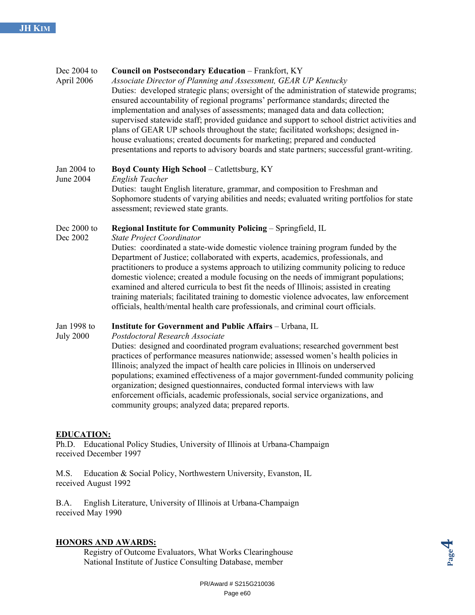# Dec 2004 to **Council on Postsecondary Education** – Frankfort, KY April 2006 *Associate Director of Planning and Assessment, GEAR UP Kentucky* Duties: developed strategic plans; oversight of the administration of statewide programs; ensured accountability of regional programs' performance standards; directed the implementation and analyses of assessments; managed data and data collection; supervised statewide staff; provided guidance and support to school district activities and plans of GEAR UP schools throughout the state; facilitated workshops; designed inhouse evaluations; created documents for marketing; prepared and conducted presentations and reports to advisory boards and state partners; successful grant-writing. Jan 2004 to **Boyd County High School** – Catlettsburg, KY June 2004 *English Teacher* Duties: taught English literature, grammar, and composition to Freshman and Sophomore students of varying abilities and needs; evaluated writing portfolios for state assessment; reviewed state grants. Dec 2000 to **Regional Institute for Community Policing** – Springfield, IL Dec 2002 *State Project Coordinator* Duties: coordinated a state-wide domestic violence training program funded by the Department of Justice; collaborated with experts, academics, professionals, and practitioners to produce a systems approach to utilizing community policing to reduce domestic violence; created a module focusing on the needs of immigrant populations; examined and altered curricula to best fit the needs of Illinois; assisted in creating training materials; facilitated training to domestic violence advocates, law enforcement officials, health/mental health care professionals, and criminal court officials. Jan 1998 to **Institute for Government and Public Affairs** – Urbana, IL

July 2000 *Postdoctoral Research Associate*

Duties: designed and coordinated program evaluations; researched government best practices of performance measures nationwide; assessed women's health policies in Illinois; analyzed the impact of health care policies in Illinois on underserved populations; examined effectiveness of a major government-funded community policing organization; designed questionnaires, conducted formal interviews with law enforcement officials, academic professionals, social service organizations, and community groups; analyzed data; prepared reports.

# **EDUCATION:**

Ph.D. Educational Policy Studies, University of Illinois at Urbana-Champaign received December 1997

M.S. Education & Social Policy, Northwestern University, Evanston, IL received August 1992

B.A. English Literature, University of Illinois at Urbana-Champaign received May 1990

# **HONORS AND AWARDS:**

Registry of Outcome Evaluators, What Works Clearinghouse National Institute of Justice Consulting Database, member

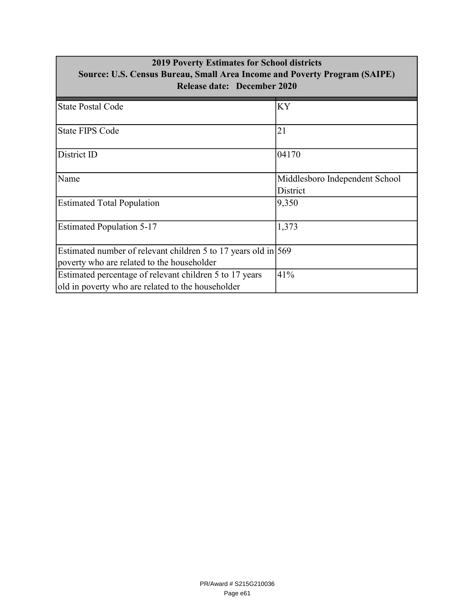| <b>2019 Poverty Estimates for School districts</b><br>Source: U.S. Census Bureau, Small Area Income and Poverty Program (SAIPE)<br><b>Release date: December 2020</b> |                                            |  |  |
|-----------------------------------------------------------------------------------------------------------------------------------------------------------------------|--------------------------------------------|--|--|
| <b>State Postal Code</b>                                                                                                                                              | KY                                         |  |  |
| <b>State FIPS Code</b>                                                                                                                                                | 21                                         |  |  |
| District ID                                                                                                                                                           | 04170                                      |  |  |
| Name                                                                                                                                                                  | Middlesboro Independent School<br>District |  |  |
| <b>Estimated Total Population</b>                                                                                                                                     | 9,350                                      |  |  |
| <b>Estimated Population 5-17</b>                                                                                                                                      | 1,373                                      |  |  |
| Estimated number of relevant children 5 to 17 years old in $\frac{569}{ }$<br>poverty who are related to the householder                                              |                                            |  |  |
| Estimated percentage of relevant children 5 to 17 years<br>old in poverty who are related to the householder                                                          | 41%                                        |  |  |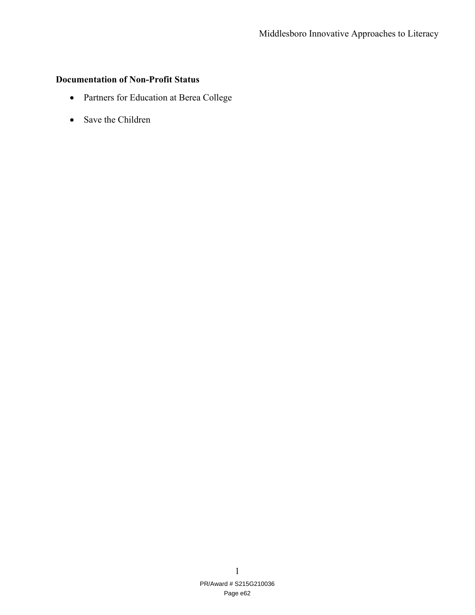# **Documentation of Non-Profit Status**

- Partners for Education at Berea College
- Save the Children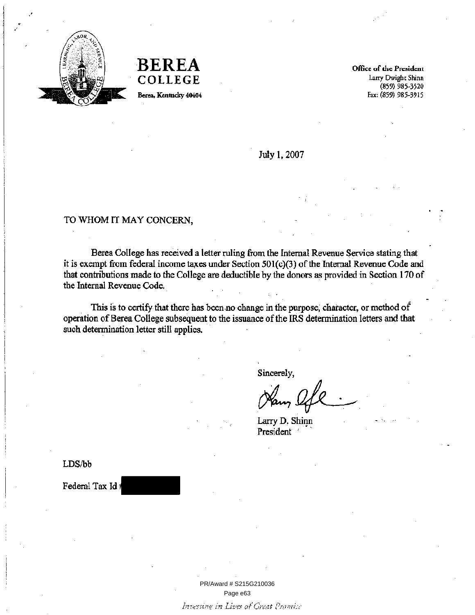

**BEREA** COLLEGE Berea, Kentucky 40404

Office of the President Larry Dwight Shinn  $(859)$  985-3520 Fax: (859) 985-3915

July 1, 2007

### TO WHOM IT MAY CONCERN,

Berea College has received a letter ruling from the Internal Revenue Service stating that it is exempt from federal income taxes under Section 501(c)(3) of the Internal Revenue Code and that contributions made to the College are deductible by the donors as provided in Section 170 of the Internal Revenue Code.

This is to certify that there has been no change in the purpose, character, or method of operation of Berea College subsequent to the issuance of the IRS determination letters and that such determination letter still applies.

Sincerely,

Larry D. Shinn President

LDS/bb

Federal Tax Id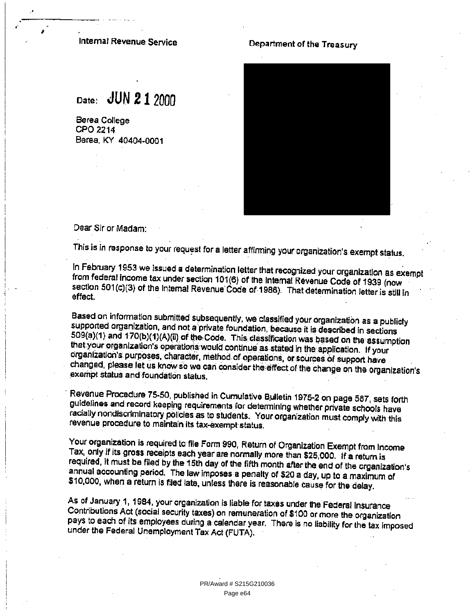### Internal Revenue Service

Date: JUN 21 2000

Berea, KY 40404-0001

Berea College CPO 2214

# Department of the Treasury



Dear Sir or Madam:

This is in response to your request for a letter affirming your organization's exempt status.

In February 1953 we issued a determination letter that recognized your organization as exempt from federal income tax under section 101(6) of the Internal Revenue Code of 1939 (now section 501(c)(3) of the Internal Revenue Code of 1986). That determination letter is still in effect.

Based on information submitted subsequently, we classified your organization as a publicly supported organization, and not a private foundation, because it is described in sections 509(a)(1) and 170(b)(1)(A)(ii) of the Code. This classification was based on the assumption that your organization's operations would continue as stated in the application. If your organization's purposes, character, method of operations, or sources of support have changed, please let us know so we can consider the effect of the change on the organization's exempt status and foundation status.

Revenue Procedure 75-50, published in Cumulative Bulletin 1975-2 on page 587, sets forth guidelines and record keeping requirements for determining whether private schools have racially nondiscriminatory policies as to students. Your organization must comply with this revenue procedure to maintain its tax-exempt status.

Your organization is required to file Form 990, Return of Organization Exempt from Income Tax, only if its gross receipts each year are normally more than \$25,000. If a return is required, it must be filed by the 15th day of the fifth month after the end of the organization's annual accounting period. The law imposes a penalty of \$20 a day, up to a maximum of \$10,000, when a return is filed late, unless there is reasonable cause for the delay.

As of January 1, 1984, your organization is liable for taxes under the Federal Insurance Contributions Act (social security taxes) on remuneration of \$100 or more the organization pays to each of its employees during a calendar year. There is no liability for the tax imposed under the Federal Unemployment Tax Act (FUTA).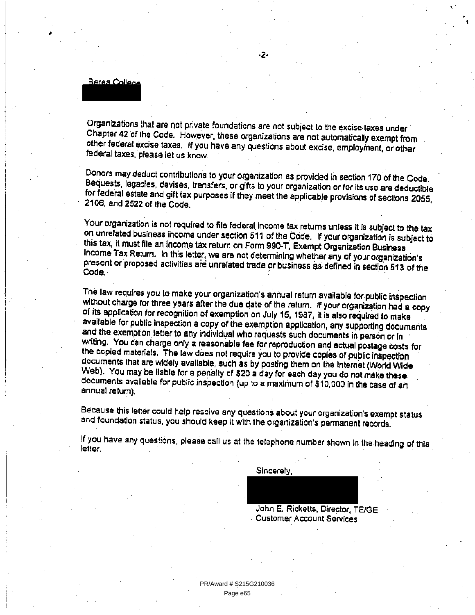Berea College

Organizations that are not private foundations are not subject to the excise taxes under Chapter 42 of the Code. However, these organizations are not automatically exempt from other federal excise taxes. If you have any questions about excise, employment, or other federal taxes, please let us know.

Donors may deduct contributions to your organization as provided in section 170 of the Code. Bequests, legacies, devises, transfers, or gifts to your organization or for its use are deductible for federal estate and gift tax purposes if they meet the applicable provisions of sections 2055. 2106, and 2522 of the Code.

Your organization is not required to file federal income tax returns unless it is subject to the tax on unrelated business income under section 511 of the Code. If your organization is subject to this tax, it must file an income tax return on Form 990-T, Exempt Organization Business Income Tax Return. In this letter, we are not determining whether any of your organization's present or proposed activities are unrelated trade or business as defined in section 513 of the Code.

The law requires you to make your organization's annual return available for public inspection without charge for three years after the due date of the return. If your organization had a copy of its application for recognition of exemption on July 15, 1987, it is also required to make available for public inspection a copy of the exemption application, any supporting documents and the exemption letter to any individual who requests such documents in person or in writing. You can charge only a reasonable fee for reproduction and actual postage costs for the copied materials. The law does not require you to provide copies of public inspection documents that are widely available, such as by posting them on the Internet (World Wide Web). You may be liable for a penalty of \$20 a day for each day you do not make these. documents available for public inspection (up to a maximum of \$10,000 in the case of an annual return).

Because this letter could help resoive any questions about your organization's exempt status and foundation status, you should keep it with the organization's permanent records.

If you have any questions, please call us at the telephone number shown in the heading of this letter.

Sincerely,

John E. Ricketts, Director, TE/GE **Customer Account Services**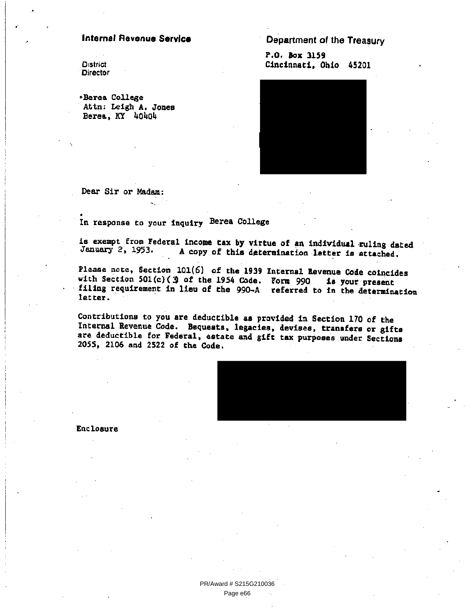### **Internal Revenue Service**

**District Director** 

«Berea College Attn: Leigh A. Jones Berea, KY 40404

Department of the Treasury

P.O. Box 3159 Cincinnati, Ohio 45201



Dear Sir or Madam:

In response to your inquiry Berea College

is exempt from Federal income tax by virtue of an individual ruling dated January 2, 1953. A copy of this determination letter is attached.

Please note, Section 101(6) of the 1939 Internal Revenue Code coincides with Section 501(c) (  $3$  of the 1954 Code. Form 990 is your present filing requirement in lieu of the 990-A referred to in the determination letter.

Contributions to you are deductible as provided in Section 170 of the Internal Revenue Code. Bequests, legacies, devises, transfers or gifts are deductible for Federal, estate and gift tax purposes under Sections 2055, 2106 and 2522 of the Code.



Enclosure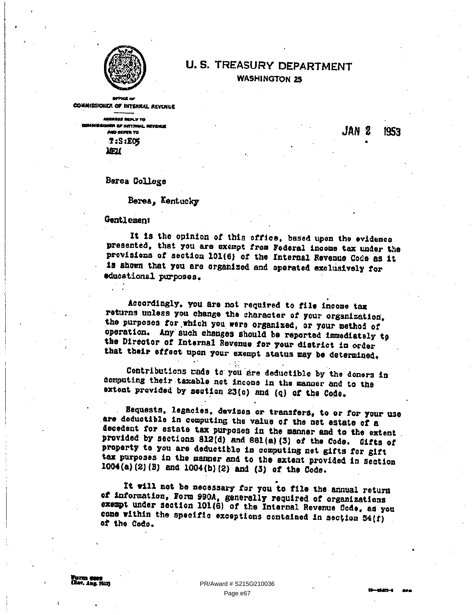

# **U.S. TREASURY DEPARTMENT WASHINGTON 25**

**COMMISSIONER OF INTERNAL REVENUE** 

ABOREES REPLY TO .<br>En af nattrikk reviser **AND REPER TO**  $T: S: EG$ **MEN** 

JAN 2 1953

Berea College

Berea. Kentucky

Gentlement

It is the opinion of this office, based upon the evidence presented, that you are exempt from Federal income tax under the provisions of section 101(6) of the Internal Revenue Code as it is shown that you are erganized and operated exclusively for educational purposes.

Accordingly, you are not required to file income tax returns unless you change the character of your organization, the purposes for which you were organized, or your method of operation. Any such changes should be reported immediately to the Director of Internal Revenue for your district in order that their effect upon your exempt status may be determined.

Contributions made to you are deductible by the donors in computing their taxable net income in the manner and to the extent provided by section 23(o) and (q) of the Code.

Bequests, legacies, devises or transfers, to or for your use are deductible in computing the value of the net estate of a decedent for estate tax purposes in the manner and to the extent provided by sections 812(d) and 861(a)(3) of the Code. Gifts of property to you are deductible in computing net gifts for gift tax purposes in the manner and to the extent provided in section 1004(a)(2)(B) and 1004(b)(2) and (3) of the Code.

It will not be necessary for you to file the annual return of information, Form 990A, generally required of organizations exempt under section 101(6) of the Internal Revenue Code, as you come within the specific exceptions contained in section 54(f) of the Code.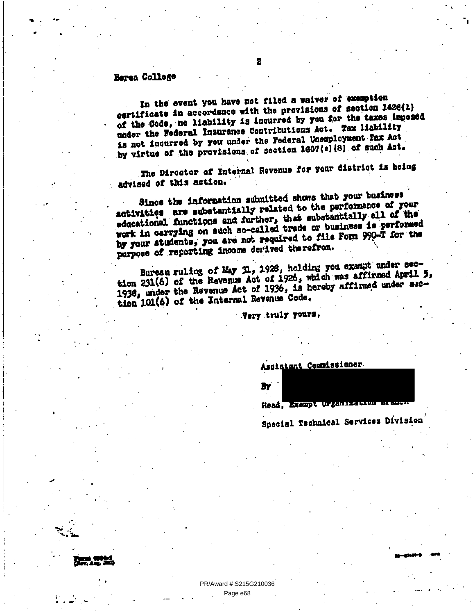# Berea College

In the event you have not filed a waiver of exemption certificate in accordance with the previsions of section 1428(1) of the Cods, no liability is incurred by you for the taxes imposed under the Federal Insurance Contributions Act. Tax liability is not incurred by you under the Federal Unemployment Fax Act by virtue of the provisions of section 1607(c)(8) of such Act.

The Director of Internal Revenue for your district is being advised of this action.

Since the information submitted shows that your business activities are substantially related to the performance of your educational functions and further, that substantially all of the work in carrying on such so-called trade or business is performed by your students, you are not required to file Form 990-T for the purpose of reporting income derived therefrom.

Bureau ruling of May N., 1928, holding you exampt under section 231(6) of the Revenue Act of 1926, which was affirmed April 5, 1938, under the Revenue Act of 1936, is hereby affirmed under asction 101(6) of the Internal Revenue Code.

Very truly yours,

Assistant Commissioner

By

Head, Exempt Organization

Special Technical Services Division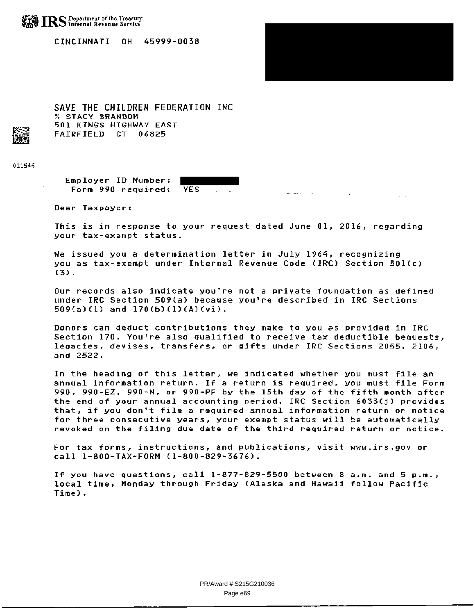

CINCINNATI OH 45999-0038

SAVE THE CHILDREN FEDERATION INC % sTACY BRANDON 501 KINGS HIGHWAY EAST FAIRFIELD CT 06825

011546

Employer ID Number: Form 990 required: YES

Dear Taxpayer:

This is in response to your request dated June 01, 2016, regarding your tax-exempt status.

 $\sim 100$ 

 $\sim 10$ 

We issued you a determination letter in July 1964, recognizing you as tax-exempt under Internal Revenue Code (IRC) Section 501(c) (3).

Our records also indicate you're not a private foundation as defined under IRC Section 509(a) because you're described in IRC Sections 509(a)(1) and 170(b)(1)(A)(vi).

Donors can deduct contributions they make to you as provided in IRC Section 170. You're also qualified to receive tax deductible bequests, legacies, devises, transfers, or gifts under IRC Sections 2055, 2106, and 2522.

In the heading of this letter, we indicated whether you must file an annual information return. If a return is required, you must file Form 990, 990-EZ, 990-N, or 990-PF by the 15th day of the fifth month after the end of your annual accounting period. IRC Section 6033(j) provides that, if you don't file a required annual information return or notice for three consecutive years, your exempt status will be automatically revoked on the filing due date of the third required return or notice.

For tax forms, instructions, and publications, visit www.irs.govor call 1-800-TAX-FORM (1-800-829-3676).

If you have questions, call 1-877-829-5500 between 8 a.m. and 5 p.m., local time, Monday through Friday (Alaska and Hawaii follow Pacific Time).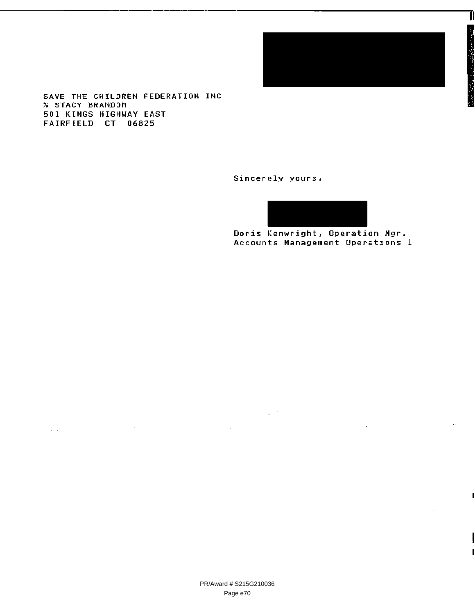

T

SAVE THE CHILDREN FEDERATION INC % STACY BRANDOM 501 KINGS HIGHWAY EAST FAIRFIELD CT 06825

 $\Delta\Delta\phi$  and  $\Delta\phi$  is a set of the set of  $\Delta\phi$ 

 $\mathcal{L}_{\mathcal{A}}$ 

Sincerely yours,

 $\mathcal{L}_{\mathcal{A}}$  , where  $\mathcal{L}_{\mathcal{A}}$ 

Doris Kenwright, Operation Mgr Accounts Management Operations 1

 $\sim$   $\sim$ 

 $\mathcal{L}_{\text{max}}$  and  $\mathcal{L}_{\text{max}}$  .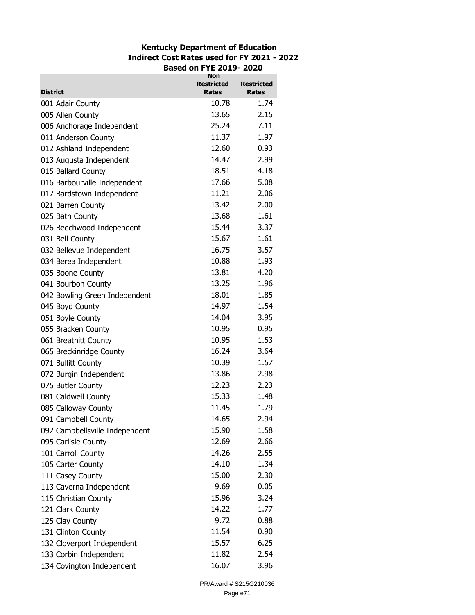# **Kentucky Department of Education Indirect Cost Rates used for FY 2021 - 2022 Based on FYE 2019- 2020**

| <b>District</b>                | <b>Non</b><br><b>Restricted</b><br><b>Rates</b> | <b>Restricted</b><br>Rates |
|--------------------------------|-------------------------------------------------|----------------------------|
| 001 Adair County               | 10.78                                           | 1.74                       |
| 005 Allen County               | 13.65                                           | 2.15                       |
| 006 Anchorage Independent      | 25.24                                           | 7.11                       |
| 011 Anderson County            | 11.37                                           | 1.97                       |
|                                | 12.60                                           | 0.93                       |
| 012 Ashland Independent        | 14.47                                           | 2.99                       |
| 013 Augusta Independent        | 18.51                                           | 4.18                       |
| 015 Ballard County             | 17.66                                           | 5.08                       |
| 016 Barbourville Independent   | 11.21                                           | 2.06                       |
| 017 Bardstown Independent      | 13.42                                           |                            |
| 021 Barren County              | 13.68                                           | 2.00<br>1.61               |
| 025 Bath County                |                                                 |                            |
| 026 Beechwood Independent      | 15.44                                           | 3.37                       |
| 031 Bell County                | 15.67                                           | 1.61                       |
| 032 Bellevue Independent       | 16.75                                           | 3.57                       |
| 034 Berea Independent          | 10.88                                           | 1.93                       |
| 035 Boone County               | 13.81                                           | 4.20                       |
| 041 Bourbon County             | 13.25                                           | 1.96                       |
| 042 Bowling Green Independent  | 18.01                                           | 1.85                       |
| 045 Boyd County                | 14.97                                           | 1.54                       |
| 051 Boyle County               | 14.04                                           | 3.95                       |
| 055 Bracken County             | 10.95                                           | 0.95                       |
| 061 Breathitt County           | 10.95                                           | 1.53                       |
| 065 Breckinridge County        | 16.24                                           | 3.64                       |
| 071 Bullitt County             | 10.39                                           | 1.57                       |
| 072 Burgin Independent         | 13.86                                           | 2.98                       |
| 075 Butler County              | 12.23                                           | 2.23                       |
| 081 Caldwell County            | 15.33                                           | 1.48                       |
| 085 Calloway County            | 11.45                                           | 1.79                       |
| 091 Campbell County            | 14.65                                           | 2.94                       |
| 092 Campbellsville Independent | 15.90                                           | 1.58                       |
| 095 Carlisle County            | 12.69                                           | 2.66                       |
| 101 Carroll County             | 14.26                                           | 2.55                       |
| 105 Carter County              | 14.10                                           | 1.34                       |
| 111 Casey County               | 15.00                                           | 2.30                       |
| 113 Caverna Independent        | 9.69                                            | 0.05                       |
| 115 Christian County           | 15.96                                           | 3.24                       |
| 121 Clark County               | 14.22                                           | 1.77                       |
| 125 Clay County                | 9.72                                            | 0.88                       |
| 131 Clinton County             | 11.54                                           | 0.90                       |
| 132 Cloverport Independent     | 15.57                                           | 6.25                       |
| 133 Corbin Independent         | 11.82                                           | 2.54                       |
| 134 Covington Independent      | 16.07                                           | 3.96                       |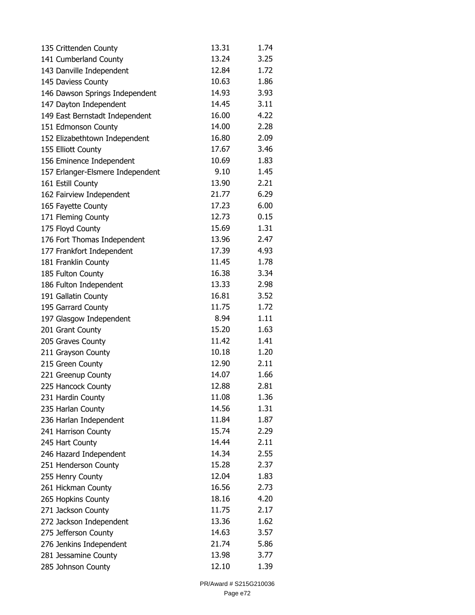| 135 Crittenden County            | 13.31 | 1.74 |
|----------------------------------|-------|------|
| 141 Cumberland County            | 13.24 | 3.25 |
| 143 Danville Independent         | 12.84 | 1.72 |
| 145 Daviess County               | 10.63 | 1.86 |
| 146 Dawson Springs Independent   | 14.93 | 3.93 |
| 147 Dayton Independent           | 14.45 | 3.11 |
| 149 East Bernstadt Independent   | 16.00 | 4.22 |
| 151 Edmonson County              | 14.00 | 2.28 |
| 152 Elizabethtown Independent    | 16.80 | 2.09 |
| 155 Elliott County               | 17.67 | 3.46 |
| 156 Eminence Independent         | 10.69 | 1.83 |
| 157 Erlanger-Elsmere Independent | 9.10  | 1.45 |
| 161 Estill County                | 13.90 | 2.21 |
| 162 Fairview Independent         | 21.77 | 6.29 |
| 165 Fayette County               | 17.23 | 6.00 |
| 171 Fleming County               | 12.73 | 0.15 |
| 175 Floyd County                 | 15.69 | 1.31 |
| 176 Fort Thomas Independent      | 13.96 | 2.47 |
| 177 Frankfort Independent        | 17.39 | 4.93 |
| 181 Franklin County              | 11.45 | 1.78 |
| 185 Fulton County                | 16.38 | 3.34 |
| 186 Fulton Independent           | 13.33 | 2.98 |
| 191 Gallatin County              | 16.81 | 3.52 |
| 195 Garrard County               | 11.75 | 1.72 |
| 197 Glasgow Independent          | 8.94  | 1.11 |
| 201 Grant County                 | 15.20 | 1.63 |
| 205 Graves County                | 11.42 | 1.41 |
| 211 Grayson County               | 10.18 | 1.20 |
| 215 Green County                 | 12.90 | 2.11 |
| 221 Greenup County               | 14.07 | 1.66 |
| 225 Hancock County               | 12.88 | 2.81 |
| 231 Hardin County                | 11.08 | 1.36 |
| 235 Harlan County                | 14.56 | 1.31 |
| 236 Harlan Independent           | 11.84 | 1.87 |
| 241 Harrison County              | 15.74 | 2.29 |
| 245 Hart County                  | 14.44 | 2.11 |
| 246 Hazard Independent           | 14.34 | 2.55 |
| 251 Henderson County             | 15.28 | 2.37 |
| 255 Henry County                 | 12.04 | 1.83 |
| 261 Hickman County               | 16.56 | 2.73 |
| 265 Hopkins County               | 18.16 | 4.20 |
| 271 Jackson County               | 11.75 | 2.17 |
| 272 Jackson Independent          | 13.36 | 1.62 |
| 275 Jefferson County             | 14.63 | 3.57 |
| 276 Jenkins Independent          | 21.74 | 5.86 |
| 281 Jessamine County             | 13.98 | 3.77 |
| 285 Johnson County               | 12.10 | 1.39 |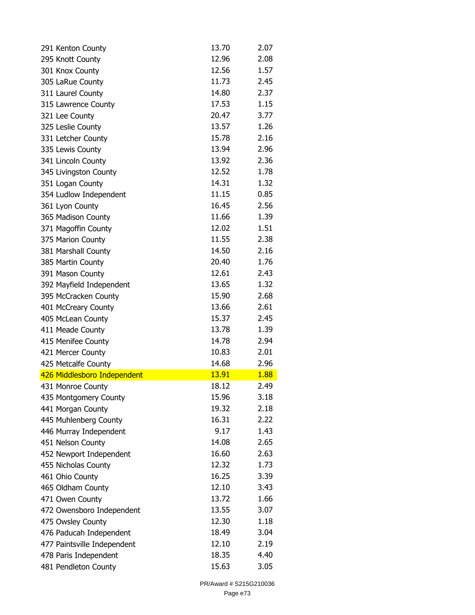| 291 Kenton County           | 13.70 | 2.07 |
|-----------------------------|-------|------|
| 295 Knott County            | 12.96 | 2.08 |
| 301 Knox County             | 12.56 | 1.57 |
| 305 LaRue County            | 11.73 | 2.45 |
| 311 Laurel County           | 14.80 | 2.37 |
| 315 Lawrence County         | 17.53 | 1.15 |
| 321 Lee County              | 20.47 | 3.77 |
| 325 Leslie County           | 13.57 | 1.26 |
| 331 Letcher County          | 15.78 | 2.16 |
| 335 Lewis County            | 13.94 | 2.96 |
| 341 Lincoln County          | 13.92 | 2.36 |
| 345 Livingston County       | 12.52 | 1.78 |
| 351 Logan County            | 14.31 | 1.32 |
| 354 Ludlow Independent      | 11.15 | 0.85 |
| 361 Lyon County             | 16.45 | 2.56 |
| 365 Madison County          | 11.66 | 1.39 |
| 371 Magoffin County         | 12.02 | 1.51 |
| 375 Marion County           | 11.55 | 2.38 |
| 381 Marshall County         | 14.50 | 2.16 |
| 385 Martin County           | 20.40 | 1.76 |
| 391 Mason County            | 12.61 | 2.43 |
| 392 Mayfield Independent    | 13.65 | 1.32 |
| 395 McCracken County        | 15.90 | 2.68 |
| 401 McCreary County         | 13.66 | 2.61 |
| 405 McLean County           | 15.37 | 2.45 |
| 411 Meade County            | 13.78 | 1.39 |
| 415 Menifee County          | 14.78 | 2.94 |
| 421 Mercer County           | 10.83 | 2.01 |
| 425 Metcalfe County         | 14.68 | 2.96 |
| 426 Middlesboro Independent | 13.91 | 1.88 |
| 431 Monroe County           | 18.12 | 2.49 |
| 435 Montgomery County       | 15.96 | 3.18 |
| 441 Morgan County           | 19.32 | 2.18 |
| 445 Muhlenberg County       | 16.31 | 2.22 |
| 446 Murray Independent      | 9.17  | 1.43 |
| 451 Nelson County           | 14.08 | 2.65 |
| 452 Newport Independent     | 16.60 | 2.63 |
| 455 Nicholas County         | 12.32 | 1.73 |
| 461 Ohio County             | 16.25 | 3.39 |
| 465 Oldham County           | 12.10 | 3.43 |
| 471 Owen County             | 13.72 | 1.66 |
| 472 Owensboro Independent   | 13.55 | 3.07 |
| 475 Owsley County           | 12.30 | 1.18 |
| 476 Paducah Independent     | 18.49 | 3.04 |
| 477 Paintsville Independent | 12.10 | 2.19 |
| 478 Paris Independent       | 18.35 | 4.40 |
| 481 Pendleton County        | 15.63 | 3.05 |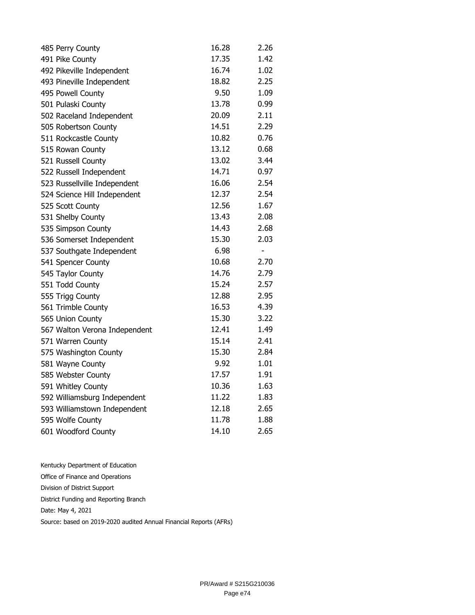| 485 Perry County              | 16.28 | 2.26                     |
|-------------------------------|-------|--------------------------|
| 491 Pike County               | 17.35 | 1.42                     |
| 492 Pikeville Independent     | 16.74 | 1.02                     |
| 493 Pineville Independent     | 18.82 | 2.25                     |
| 495 Powell County             | 9.50  | 1.09                     |
| 501 Pulaski County            | 13.78 | 0.99                     |
| 502 Raceland Independent      | 20.09 | 2.11                     |
| 505 Robertson County          | 14.51 | 2.29                     |
| 511 Rockcastle County         | 10.82 | 0.76                     |
| 515 Rowan County              | 13.12 | 0.68                     |
| 521 Russell County            | 13.02 | 3.44                     |
| 522 Russell Independent       | 14.71 | 0.97                     |
| 523 Russellville Independent  | 16.06 | 2.54                     |
| 524 Science Hill Independent  | 12.37 | 2.54                     |
| 525 Scott County              | 12.56 | 1.67                     |
| 531 Shelby County             | 13.43 | 2.08                     |
| 535 Simpson County            | 14.43 | 2.68                     |
| 536 Somerset Independent      | 15.30 | 2.03                     |
| 537 Southgate Independent     | 6.98  | $\overline{\phantom{a}}$ |
| 541 Spencer County            | 10.68 | 2.70                     |
| 545 Taylor County             | 14.76 | 2.79                     |
| 551 Todd County               | 15.24 | 2.57                     |
| 555 Trigg County              | 12.88 | 2.95                     |
| 561 Trimble County            | 16.53 | 4.39                     |
| 565 Union County              | 15.30 | 3.22                     |
| 567 Walton Verona Independent | 12.41 | 1.49                     |
| 571 Warren County             | 15.14 | 2.41                     |
| 575 Washington County         | 15.30 | 2.84                     |
| 581 Wayne County              | 9.92  | 1.01                     |
| 585 Webster County            | 17.57 | 1.91                     |
| 591 Whitley County            | 10.36 | 1.63                     |
| 592 Williamsburg Independent  | 11.22 | 1.83                     |
| 593 Williamstown Independent  | 12.18 | 2.65                     |
| 595 Wolfe County              | 11.78 | 1.88                     |
| 601 Woodford County           | 14.10 | 2.65                     |

| Kentucky Department of Education                                   |
|--------------------------------------------------------------------|
| Office of Finance and Operations                                   |
| Division of District Support                                       |
| District Funding and Reporting Branch                              |
| Date: May 4, 2021                                                  |
| Source: based on 2019-2020 audited Annual Financial Reports (AFRs) |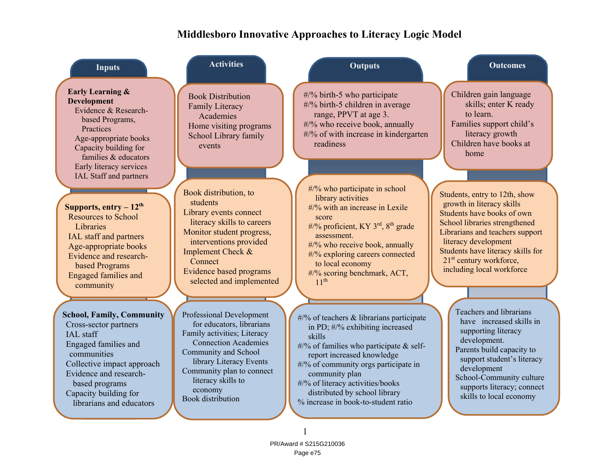# **Middlesboro Innovative Approaches to Literacy Logic Model**

| <b>Inputs</b>                                                                                                                                                                                                                                | <b>Activities</b>                                                                                                                                                                                                                                                       | <b>Outputs</b>                                                                                                                                                                                                                                                                                                                             | <b>Outcomes</b>                                                                                                                                                                                                                                                                               |
|----------------------------------------------------------------------------------------------------------------------------------------------------------------------------------------------------------------------------------------------|-------------------------------------------------------------------------------------------------------------------------------------------------------------------------------------------------------------------------------------------------------------------------|--------------------------------------------------------------------------------------------------------------------------------------------------------------------------------------------------------------------------------------------------------------------------------------------------------------------------------------------|-----------------------------------------------------------------------------------------------------------------------------------------------------------------------------------------------------------------------------------------------------------------------------------------------|
| <b>Early Learning &amp;</b><br><b>Development</b><br>Evidence & Research-<br>based Programs,<br>Practices<br>Age-appropriate books<br>Capacity building for<br>families & educators<br>Early literacy services<br>IAL Staff and partners     | <b>Book Distribution</b><br><b>Family Literacy</b><br>Academies<br>Home visiting programs<br>School Library family<br>events                                                                                                                                            | #/% birth-5 who participate<br>#/% birth-5 children in average<br>range, PPVT at age 3.<br>#/% who receive book, annually<br>#/% of with increase in kindergarten<br>readiness                                                                                                                                                             | Children gain language<br>skills; enter K ready<br>to learn.<br>Families support child's<br>literacy growth<br>Children have books at<br>home                                                                                                                                                 |
| Supports, $entry - 12th$<br><b>Resources to School</b><br>Libraries<br>IAL staff and partners<br>Age-appropriate books<br>Evidence and research-<br>based Programs<br>Engaged families and<br>community                                      | Book distribution, to<br>students<br>Library events connect<br>literacy skills to careers<br>Monitor student progress,<br>interventions provided<br>Implement Check &<br>Connect<br><b>Evidence based programs</b><br>selected and implemented                          | #/% who participate in school<br>library activities<br>#/% with an increase in Lexile<br>score<br>#/% proficient, KY 3 <sup>rd</sup> , 8 <sup>th</sup> grade<br>assessment.<br>#/% who receive book, annually<br>#/% exploring careers connected<br>to local economy<br>#/% scoring benchmark, ACT,<br>11 <sup>th</sup>                    | Students, entry to 12th, show<br>growth in literacy skills<br>Students have books of own<br>School libraries strengthened<br>Librarians and teachers support<br>literacy development<br>Students have literacy skills for<br>21 <sup>st</sup> century workforce,<br>including local workforce |
| <b>School, Family, Community</b><br>Cross-sector partners<br>IAL staff<br>Engaged families and<br>communities<br>Collective impact approach<br>Evidence and research-<br>based programs<br>Capacity building for<br>librarians and educators | Professional Development<br>for educators, librarians<br>Family activities; Literacy<br><b>Connection Academies</b><br><b>Community and School</b><br>library Literacy Events<br>Community plan to connect<br>literacy skills to<br>economy<br><b>Book</b> distribution | $\#$ % of teachers & librarians participate<br>in PD; #/% exhibiting increased<br>skills<br>$\#$ % of families who participate & self-<br>report increased knowledge<br>#/% of community orgs participate in<br>community plan<br>#/% of literacy activities/books<br>distributed by school library<br>% increase in book-to-student ratio | Teachers and librarians<br>have increased skills in<br>supporting literacy<br>development.<br>Parents build capacity to<br>support student's literacy<br>development<br>School-Community culture<br>supports literacy; connect<br>skills to local economy                                     |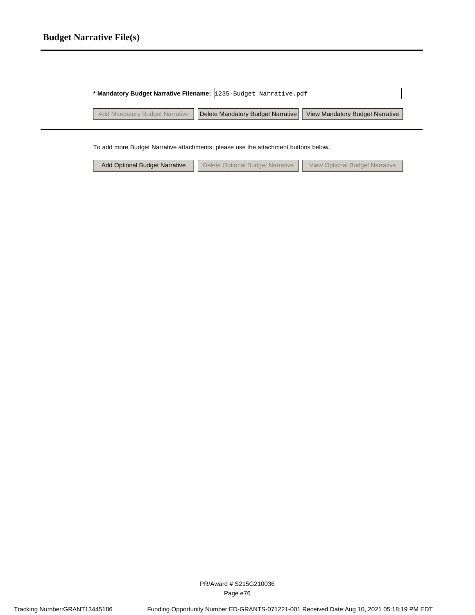## **Budget Narrative File(s)**

| * Mandatory Budget Narrative Filename: 1235-Budget Narrative.pdf |                                                                    |                                 |  |  |  |  |  |
|------------------------------------------------------------------|--------------------------------------------------------------------|---------------------------------|--|--|--|--|--|
|                                                                  | Add Mandatory Budget Narrative   Delete Mandatory Budget Narrative | View Mandatory Budget Narrative |  |  |  |  |  |
|                                                                  |                                                                    |                                 |  |  |  |  |  |

To add more Budget Narrative attachments, please use the attachment buttons below.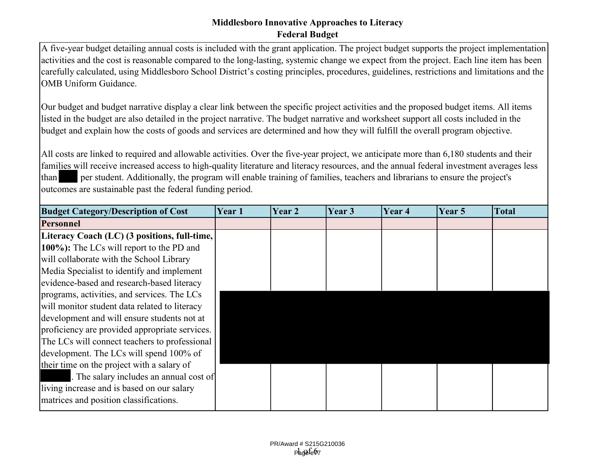A five-year budget detailing annual costs is included with the grant application. The project budget supports the project implementation activities and the cost is reasonable compared to the long-lasting, systemic change we expect from the project. Each line item has been carefully calculated, using Middlesboro School District's costing principles, procedures, guidelines, restrictions and limitations and the OMB Uniform Guidance.

Our budget and budget narrative display a clear link between the specific project activities and the proposed budget items. All items listed in the budget are also detailed in the project narrative. The budget narrative and worksheet support all costs included in the budget and explain how the costs of goods and services are determined and how they will fulfill the overall program objective.

All costs are linked to required and allowable activities. Over the five-year project, we anticipate more than 6,180 students and their families will receive increased access to high-quality literature and literacy resources, and the annual federal investment averages less than per student. Additionally, the program will enable training of families, teachers and librarians to ensure the project's outcomes are sustainable past the federal funding period.

| <b>Budget Category/Description of Cost</b>     | Year 1 | Year 2 | Year 3 | Year 4 | Year 5 | Total |
|------------------------------------------------|--------|--------|--------|--------|--------|-------|
| Personnel                                      |        |        |        |        |        |       |
| Literacy Coach (LC) (3 positions, full-time,   |        |        |        |        |        |       |
| 100%): The LCs will report to the PD and       |        |        |        |        |        |       |
| will collaborate with the School Library       |        |        |        |        |        |       |
| Media Specialist to identify and implement     |        |        |        |        |        |       |
| evidence-based and research-based literacy     |        |        |        |        |        |       |
| programs, activities, and services. The LCs    |        |        |        |        |        |       |
| will monitor student data related to literacy  |        |        |        |        |        |       |
| development and will ensure students not at    |        |        |        |        |        |       |
| proficiency are provided appropriate services. |        |        |        |        |        |       |
| The LCs will connect teachers to professional  |        |        |        |        |        |       |
| development. The LCs will spend 100% of        |        |        |        |        |        |       |
| their time on the project with a salary of     |        |        |        |        |        |       |
| The salary includes an annual cost of          |        |        |        |        |        |       |
| living increase and is based on our salary     |        |        |        |        |        |       |
| matrices and position classifications.         |        |        |        |        |        |       |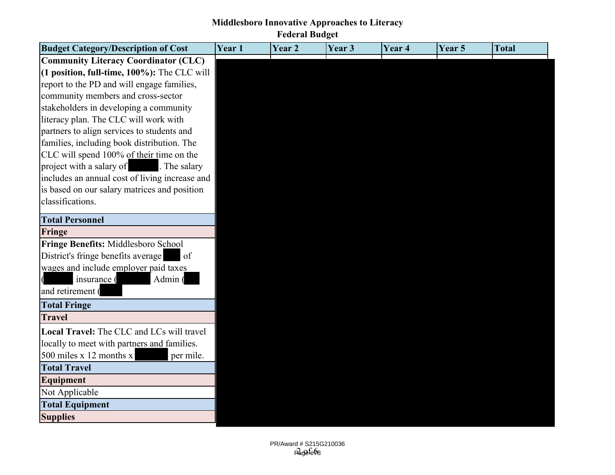| <b>Budget Category/Description of Cost</b>     | Year 1 | Year <sub>2</sub> | Year <sub>3</sub> | Year 4 | Year 5 | <b>Total</b> |
|------------------------------------------------|--------|-------------------|-------------------|--------|--------|--------------|
| <b>Community Literacy Coordinator (CLC)</b>    |        |                   |                   |        |        |              |
| (1 position, full-time, 100%): The CLC will    |        |                   |                   |        |        |              |
| report to the PD and will engage families,     |        |                   |                   |        |        |              |
| community members and cross-sector             |        |                   |                   |        |        |              |
| stakeholders in developing a community         |        |                   |                   |        |        |              |
| literacy plan. The CLC will work with          |        |                   |                   |        |        |              |
| partners to align services to students and     |        |                   |                   |        |        |              |
| families, including book distribution. The     |        |                   |                   |        |        |              |
| CLC will spend 100% of their time on the       |        |                   |                   |        |        |              |
| project with a salary of<br>. The salary       |        |                   |                   |        |        |              |
| includes an annual cost of living increase and |        |                   |                   |        |        |              |
| is based on our salary matrices and position   |        |                   |                   |        |        |              |
| classifications.                               |        |                   |                   |        |        |              |
| <b>Total Personnel</b>                         |        |                   |                   |        |        |              |
| Fringe                                         |        |                   |                   |        |        |              |
| Fringe Benefits: Middlesboro School            |        |                   |                   |        |        |              |
| District's fringe benefits average<br>of       |        |                   |                   |        |        |              |
| wages and include employer paid taxes          |        |                   |                   |        |        |              |
| insurance (<br>Admin (                         |        |                   |                   |        |        |              |
| and retirement (                               |        |                   |                   |        |        |              |
| <b>Total Fringe</b>                            |        |                   |                   |        |        |              |
| <b>Travel</b>                                  |        |                   |                   |        |        |              |
| Local Travel: The CLC and LCs will travel      |        |                   |                   |        |        |              |
| locally to meet with partners and families.    |        |                   |                   |        |        |              |
| 500 miles $x$ 12 months $x$<br>per mile.       |        |                   |                   |        |        |              |
| <b>Total Travel</b>                            |        |                   |                   |        |        |              |
| <b>Equipment</b>                               |        |                   |                   |        |        |              |
| Not Applicable                                 |        |                   |                   |        |        |              |
| <b>Total Equipment</b>                         |        |                   |                   |        |        |              |
| <b>Supplies</b>                                |        |                   |                   |        |        |              |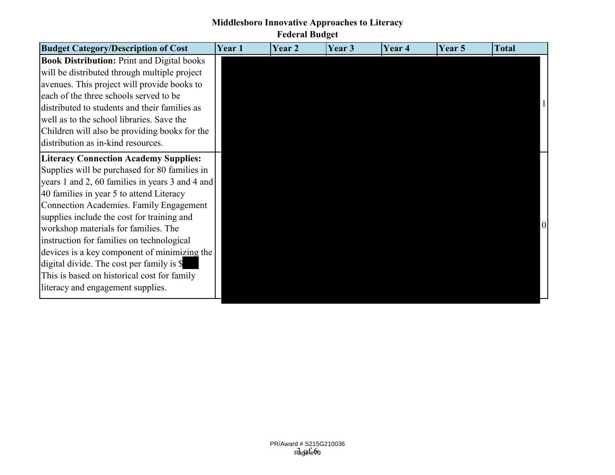| <b>Budget Category/Description of Cost</b>                                                                                                       | <b>Year</b> 1 | Year 2 | Year 3 | Year 4 | <b>Year 5</b> | <b>Total</b> |
|--------------------------------------------------------------------------------------------------------------------------------------------------|---------------|--------|--------|--------|---------------|--------------|
| <b>Book Distribution: Print and Digital books</b><br>will be distributed through multiple project<br>avenues. This project will provide books to |               |        |        |        |               |              |
| each of the three schools served to be<br>distributed to students and their families as<br>well as to the school libraries. Save the             |               |        |        |        |               |              |
| Children will also be providing books for the<br>distribution as in-kind resources.                                                              |               |        |        |        |               |              |
| <b>Literacy Connection Academy Supplies:</b>                                                                                                     |               |        |        |        |               |              |
| Supplies will be purchased for 80 families in<br>years 1 and 2, 60 families in years 3 and 4 and                                                 |               |        |        |        |               |              |
| 40 families in year 5 to attend Literacy                                                                                                         |               |        |        |        |               |              |
| <b>Connection Academies. Family Engagement</b>                                                                                                   |               |        |        |        |               |              |
| supplies include the cost for training and                                                                                                       |               |        |        |        |               |              |
| workshop materials for families. The                                                                                                             |               |        |        |        |               |              |
| instruction for families on technological<br>devices is a key component of minimizing the                                                        |               |        |        |        |               |              |
| digital divide. The cost per family is \$                                                                                                        |               |        |        |        |               |              |
| This is based on historical cost for family                                                                                                      |               |        |        |        |               |              |
| literacy and engagement supplies.                                                                                                                |               |        |        |        |               |              |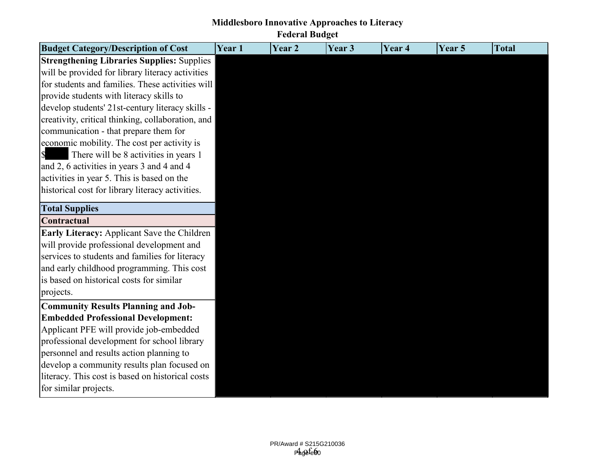**Middlesboro Innovative Approaches to Literacy Federal Budget**

| <b>Budget Category/Description of Cost</b>        | Year 1 | Year 2 | Year 3 | Year 4 | Year 5 | <b>Total</b> |
|---------------------------------------------------|--------|--------|--------|--------|--------|--------------|
| <b>Strengthening Libraries Supplies: Supplies</b> |        |        |        |        |        |              |
| will be provided for library literacy activities  |        |        |        |        |        |              |
| for students and families. These activities will  |        |        |        |        |        |              |
| provide students with literacy skills to          |        |        |        |        |        |              |
| develop students' 21st-century literacy skills -  |        |        |        |        |        |              |
| creativity, critical thinking, collaboration, and |        |        |        |        |        |              |
| communication - that prepare them for             |        |        |        |        |        |              |
| economic mobility. The cost per activity is       |        |        |        |        |        |              |
| There will be 8 activities in years 1             |        |        |        |        |        |              |
| and 2, 6 activities in years 3 and 4 and 4        |        |        |        |        |        |              |
| activities in year 5. This is based on the        |        |        |        |        |        |              |
| historical cost for library literacy activities.  |        |        |        |        |        |              |
| <b>Total Supplies</b>                             |        |        |        |        |        |              |
| Contractual                                       |        |        |        |        |        |              |
| Early Literacy: Applicant Save the Children       |        |        |        |        |        |              |
| will provide professional development and         |        |        |        |        |        |              |
| services to students and families for literacy    |        |        |        |        |        |              |
| and early childhood programming. This cost        |        |        |        |        |        |              |
| is based on historical costs for similar          |        |        |        |        |        |              |
| projects.                                         |        |        |        |        |        |              |
| <b>Community Results Planning and Job-</b>        |        |        |        |        |        |              |
| <b>Embedded Professional Development:</b>         |        |        |        |        |        |              |
| Applicant PFE will provide job-embedded           |        |        |        |        |        |              |
| professional development for school library       |        |        |        |        |        |              |
| personnel and results action planning to          |        |        |        |        |        |              |
| develop a community results plan focused on       |        |        |        |        |        |              |
| literacy. This cost is based on historical costs  |        |        |        |        |        |              |
| for similar projects.                             |        |        |        |        |        |              |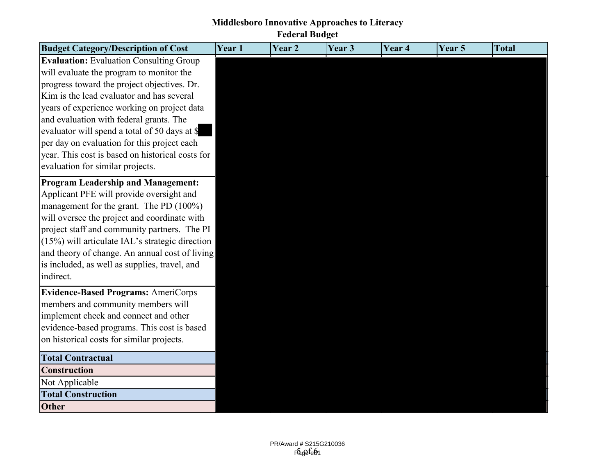| <b>Budget Category/Description of Cost</b>        | Year 1 | Year 2 | Year 3 | Year 4 | Year 5 | <b>Total</b> |
|---------------------------------------------------|--------|--------|--------|--------|--------|--------------|
| <b>Evaluation:</b> Evaluation Consulting Group    |        |        |        |        |        |              |
| will evaluate the program to monitor the          |        |        |        |        |        |              |
| progress toward the project objectives. Dr.       |        |        |        |        |        |              |
| Kim is the lead evaluator and has several         |        |        |        |        |        |              |
| years of experience working on project data       |        |        |        |        |        |              |
| and evaluation with federal grants. The           |        |        |        |        |        |              |
| evaluator will spend a total of 50 days at \$     |        |        |        |        |        |              |
| per day on evaluation for this project each       |        |        |        |        |        |              |
| year. This cost is based on historical costs for  |        |        |        |        |        |              |
| evaluation for similar projects.                  |        |        |        |        |        |              |
| <b>Program Leadership and Management:</b>         |        |        |        |        |        |              |
| Applicant PFE will provide oversight and          |        |        |        |        |        |              |
| management for the grant. The PD (100%)           |        |        |        |        |        |              |
| will oversee the project and coordinate with      |        |        |        |        |        |              |
| project staff and community partners. The PI      |        |        |        |        |        |              |
| $(15%)$ will articulate IAL's strategic direction |        |        |        |        |        |              |
| and theory of change. An annual cost of living    |        |        |        |        |        |              |
| is included, as well as supplies, travel, and     |        |        |        |        |        |              |
| indirect.                                         |        |        |        |        |        |              |
| <b>Evidence-Based Programs: AmeriCorps</b>        |        |        |        |        |        |              |
| members and community members will                |        |        |        |        |        |              |
| implement check and connect and other             |        |        |        |        |        |              |
| evidence-based programs. This cost is based       |        |        |        |        |        |              |
| on historical costs for similar projects.         |        |        |        |        |        |              |
| <b>Total Contractual</b>                          |        |        |        |        |        |              |
| <b>Construction</b>                               |        |        |        |        |        |              |
| Not Applicable                                    |        |        |        |        |        |              |
| <b>Total Construction</b>                         |        |        |        |        |        |              |
| <b>Other</b>                                      |        |        |        |        |        |              |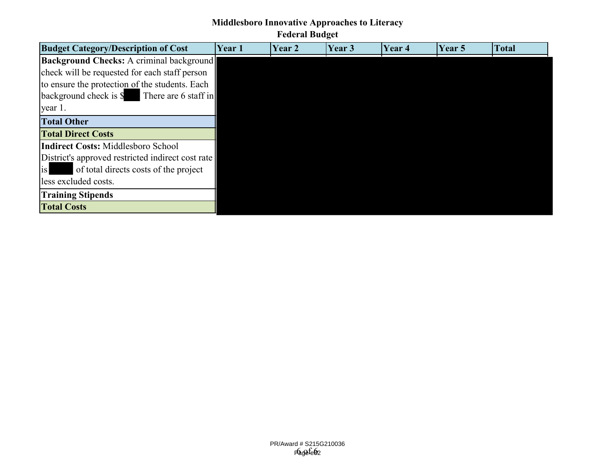# **Middlesboro Innovative Approaches to Literacy**

# **Federal Budget**

| <b>Budget Category/Description of Cost</b>        | Year 1 | Year 2 | Year 3 | Year 4 | Year 5 | <b>Total</b> |
|---------------------------------------------------|--------|--------|--------|--------|--------|--------------|
| <b>Background Checks:</b> A criminal background   |        |        |        |        |        |              |
| check will be requested for each staff person     |        |        |        |        |        |              |
| to ensure the protection of the students. Each    |        |        |        |        |        |              |
| background check is \$<br>There are 6 staff in    |        |        |        |        |        |              |
| year 1.                                           |        |        |        |        |        |              |
| <b>Total Other</b>                                |        |        |        |        |        |              |
| <b>Total Direct Costs</b>                         |        |        |        |        |        |              |
| Indirect Costs: Middlesboro School                |        |        |        |        |        |              |
| District's approved restricted indirect cost rate |        |        |        |        |        |              |
| is<br>of total directs costs of the project       |        |        |        |        |        |              |
| less excluded costs.                              |        |        |        |        |        |              |
| <b>Training Stipends</b>                          |        |        |        |        |        |              |
| <b>Total Costs</b>                                |        |        |        |        |        |              |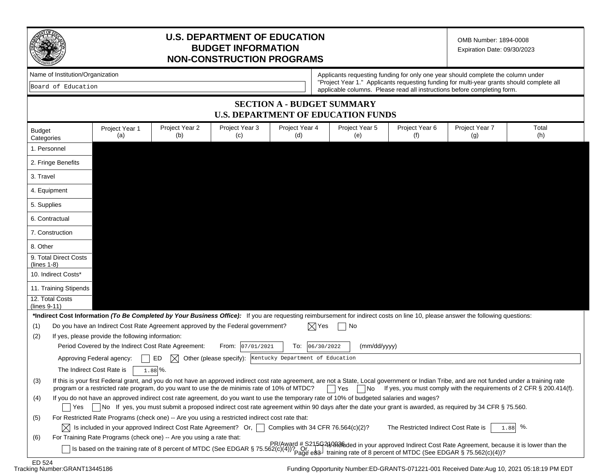

## **U.S. DEPARTMENT OF EDUCATION BUDGET INFORMATION NON-CONSTRUCTION PROGRAMS**

OMB Number: 1894-0008 Expiration Date: 09/30/2023

| Name of Institution/Organization |
|----------------------------------|
|----------------------------------|

|  | Board of Education |
|--|--------------------|
|--|--------------------|

Applicants requesting funding for only one year should complete the column under "Project Year 1." Applicants requesting funding for multi-year grants should complete all applicable columns. Please read all instructions before completing form.

#### **SECTION A - BUDGET SUMMARY U.S. DEPARTMENT OF EDUCATION FUNDS**

| <b>Budget</b><br>Categories                | Project Year 1<br>(a)                                                                                                                                                                                                                                                                          | Project Year 2<br>(b) | Project Year 3<br>(C) | Project Year 4<br>(d)                                                                                                                                   | Project Year 5<br>(e) | Project Year 6<br>(f)                | Project Year 7<br>(g) | Total<br>(h)                                                                                           |
|--------------------------------------------|------------------------------------------------------------------------------------------------------------------------------------------------------------------------------------------------------------------------------------------------------------------------------------------------|-----------------------|-----------------------|---------------------------------------------------------------------------------------------------------------------------------------------------------|-----------------------|--------------------------------------|-----------------------|--------------------------------------------------------------------------------------------------------|
| 1. Personnel                               |                                                                                                                                                                                                                                                                                                |                       |                       |                                                                                                                                                         |                       |                                      |                       |                                                                                                        |
| 2. Fringe Benefits                         |                                                                                                                                                                                                                                                                                                |                       |                       |                                                                                                                                                         |                       |                                      |                       |                                                                                                        |
| 3. Travel                                  |                                                                                                                                                                                                                                                                                                |                       |                       |                                                                                                                                                         |                       |                                      |                       |                                                                                                        |
| 4. Equipment                               |                                                                                                                                                                                                                                                                                                |                       |                       |                                                                                                                                                         |                       |                                      |                       |                                                                                                        |
| 5. Supplies                                |                                                                                                                                                                                                                                                                                                |                       |                       |                                                                                                                                                         |                       |                                      |                       |                                                                                                        |
| 6. Contractual                             |                                                                                                                                                                                                                                                                                                |                       |                       |                                                                                                                                                         |                       |                                      |                       |                                                                                                        |
| 7. Construction                            |                                                                                                                                                                                                                                                                                                |                       |                       |                                                                                                                                                         |                       |                                      |                       |                                                                                                        |
| 8. Other                                   |                                                                                                                                                                                                                                                                                                |                       |                       |                                                                                                                                                         |                       |                                      |                       |                                                                                                        |
| 9. Total Direct Costs<br>$($ lines 1-8 $)$ |                                                                                                                                                                                                                                                                                                |                       |                       |                                                                                                                                                         |                       |                                      |                       |                                                                                                        |
| 10. Indirect Costs*                        |                                                                                                                                                                                                                                                                                                |                       |                       |                                                                                                                                                         |                       |                                      |                       |                                                                                                        |
| 11. Training Stipends                      |                                                                                                                                                                                                                                                                                                |                       |                       |                                                                                                                                                         |                       |                                      |                       |                                                                                                        |
| 12. Total Costs<br>$(lines 9-11)$          |                                                                                                                                                                                                                                                                                                |                       |                       |                                                                                                                                                         |                       |                                      |                       |                                                                                                        |
|                                            | *Indirect Cost Information (To Be Completed by Your Business Office): If you are requesting reimbursement for indirect costs on line 10, please answer the following questions:                                                                                                                |                       |                       |                                                                                                                                                         |                       |                                      |                       |                                                                                                        |
| (1)                                        | Do you have an Indirect Cost Rate Agreement approved by the Federal government?                                                                                                                                                                                                                |                       |                       | X  Yes                                                                                                                                                  | No                    |                                      |                       |                                                                                                        |
| (2)                                        | If yes, please provide the following information:                                                                                                                                                                                                                                              |                       |                       |                                                                                                                                                         |                       |                                      |                       |                                                                                                        |
|                                            | Period Covered by the Indirect Cost Rate Agreement:                                                                                                                                                                                                                                            |                       | From: 07/01/2021      | 06/30/2022<br>To:                                                                                                                                       | (mm/dd/yyyy)          |                                      |                       |                                                                                                        |
|                                            | Approving Federal agency:                                                                                                                                                                                                                                                                      | ED<br>M               |                       | Other (please specify): Kentucky Department of Education                                                                                                |                       |                                      |                       |                                                                                                        |
|                                            | The Indirect Cost Rate is                                                                                                                                                                                                                                                                      | $1.88\%$ .            |                       |                                                                                                                                                         |                       |                                      |                       |                                                                                                        |
| (3)                                        | If this is your first Federal grant, and you do not have an approved indirect cost rate agreement, are not a State, Local government or Indian Tribe, and are not funded under a training rate<br>program or a restricted rate program, do you want to use the de minimis rate of 10% of MTDC? |                       |                       |                                                                                                                                                         | Yes<br> No            |                                      |                       | If yes, you must comply with the requirements of 2 CFR § 200.414(f).                                   |
| (4)                                        | If you do not have an approved indirect cost rate agreement, do you want to use the temporary rate of 10% of budgeted salaries and wages?                                                                                                                                                      |                       |                       |                                                                                                                                                         |                       |                                      |                       |                                                                                                        |
| l Yes                                      |                                                                                                                                                                                                                                                                                                |                       |                       | No If yes, you must submit a proposed indirect cost rate agreement within 90 days after the date your grant is awarded, as required by 34 CFR § 75.560. |                       |                                      |                       |                                                                                                        |
| (5)                                        | For Restricted Rate Programs (check one) -- Are you using a restricted indirect cost rate that:                                                                                                                                                                                                |                       |                       |                                                                                                                                                         |                       |                                      |                       |                                                                                                        |
|                                            | $\vert\chi\vert$ is included in your approved Indirect Cost Rate Agreement? Or, $\vert\,\,\vert$ Complies with 34 CFR 76.564(c)(2)?                                                                                                                                                            |                       |                       |                                                                                                                                                         |                       | The Restricted Indirect Cost Rate is |                       | $1.88$ %.                                                                                              |
| (6)                                        | For Training Rate Programs (check one) -- Are you using a rate that:                                                                                                                                                                                                                           |                       |                       |                                                                                                                                                         |                       |                                      |                       |                                                                                                        |
|                                            | Is based on the training rate of 8 percent of MTDC (See EDGAR § 75.562(c)(4))? Or Page e83 training rate of 8 percent of MTDC (See EDGAR § 75.562(c)(4))?                                                                                                                                      |                       |                       |                                                                                                                                                         |                       |                                      |                       | PR/Award # S215G219Refeded in your approved Indirect Cost Rate Agreement, because it is lower than the |
| E D E 24                                   |                                                                                                                                                                                                                                                                                                |                       |                       |                                                                                                                                                         |                       |                                      |                       |                                                                                                        |

Funding Opportunity Number:ED-GRANTS-071221-001 Received Date:Aug 10, 2021 05:18:19 PM EDT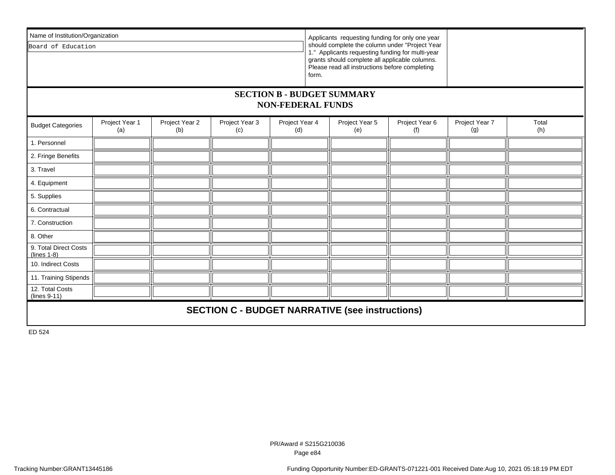| Name of Institution/Organization                              |                       |                       |                                                        |                                                                                                                                                      |       | Applicants requesting funding for only one year |                       |                       |              |
|---------------------------------------------------------------|-----------------------|-----------------------|--------------------------------------------------------|------------------------------------------------------------------------------------------------------------------------------------------------------|-------|-------------------------------------------------|-----------------------|-----------------------|--------------|
| Board of Education                                            |                       |                       |                                                        | should complete the column under "Project Year                                                                                                       |       |                                                 |                       |                       |              |
|                                                               |                       |                       |                                                        | 1." Applicants requesting funding for multi-year<br>grants should complete all applicable columns.<br>Please read all instructions before completing |       |                                                 |                       |                       |              |
|                                                               |                       |                       |                                                        |                                                                                                                                                      | form. |                                                 |                       |                       |              |
| <b>SECTION B - BUDGET SUMMARY</b><br><b>NON-FEDERAL FUNDS</b> |                       |                       |                                                        |                                                                                                                                                      |       |                                                 |                       |                       |              |
| <b>Budget Categories</b>                                      | Project Year 1<br>(a) | Project Year 2<br>(b) | Project Year 3<br>(c)                                  | Project Year 4<br>(d)                                                                                                                                |       | Project Year 5<br>(e)                           | Project Year 6<br>(f) | Project Year 7<br>(g) | Total<br>(h) |
| 1. Personnel                                                  |                       |                       |                                                        |                                                                                                                                                      |       |                                                 |                       |                       |              |
| 2. Fringe Benefits                                            |                       |                       |                                                        |                                                                                                                                                      |       |                                                 |                       |                       |              |
| 3. Travel                                                     |                       |                       |                                                        |                                                                                                                                                      |       |                                                 |                       |                       |              |
| 4. Equipment                                                  |                       |                       |                                                        |                                                                                                                                                      |       |                                                 |                       |                       |              |
| 5. Supplies                                                   |                       |                       |                                                        |                                                                                                                                                      |       |                                                 |                       |                       |              |
| 6. Contractual                                                |                       |                       |                                                        |                                                                                                                                                      |       |                                                 |                       |                       |              |
| 7. Construction                                               |                       |                       |                                                        |                                                                                                                                                      |       |                                                 |                       |                       |              |
| 8. Other                                                      |                       |                       |                                                        |                                                                                                                                                      |       |                                                 |                       |                       |              |
| 9. Total Direct Costs<br>$(lines 1-8)$                        |                       |                       |                                                        |                                                                                                                                                      |       |                                                 |                       |                       |              |
| 10. Indirect Costs                                            |                       |                       |                                                        |                                                                                                                                                      |       |                                                 |                       |                       |              |
| 11. Training Stipends                                         |                       |                       |                                                        |                                                                                                                                                      |       |                                                 |                       |                       |              |
| 12. Total Costs<br>$(lines 9-11)$                             |                       |                       |                                                        |                                                                                                                                                      |       |                                                 |                       |                       |              |
|                                                               |                       |                       | <b>SECTION C - BUDGET NARRATIVE (see instructions)</b> |                                                                                                                                                      |       |                                                 |                       |                       |              |

ED 524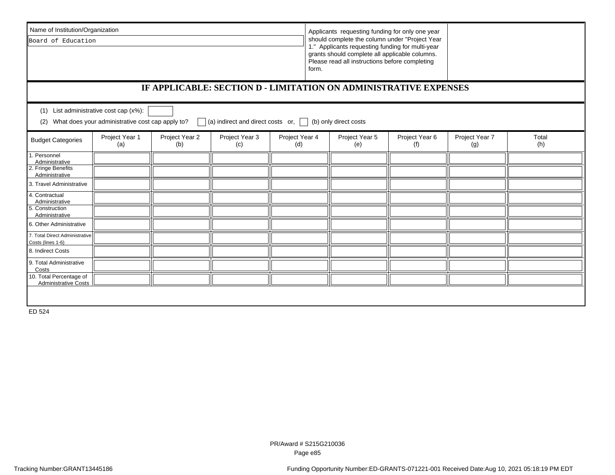| Name of Institution/Organization                                    |                                                                                                                                                             |                       |                       |                       | Applicants requesting funding for only one year                                                                                                                                                                 |                       |                       |              |
|---------------------------------------------------------------------|-------------------------------------------------------------------------------------------------------------------------------------------------------------|-----------------------|-----------------------|-----------------------|-----------------------------------------------------------------------------------------------------------------------------------------------------------------------------------------------------------------|-----------------------|-----------------------|--------------|
| Board of Education                                                  |                                                                                                                                                             |                       |                       |                       | should complete the column under "Project Year<br>1." Applicants requesting funding for multi-year<br>grants should complete all applicable columns.<br>Please read all instructions before completing<br>form. |                       |                       |              |
|                                                                     | IF APPLICABLE: SECTION D - LIMITATION ON ADMINISTRATIVE EXPENSES                                                                                            |                       |                       |                       |                                                                                                                                                                                                                 |                       |                       |              |
| (1)<br>(2)                                                          | List administrative cost cap (x%):<br>What does your administrative cost cap apply to?<br>(a) indirect and direct costs or, $\Box$<br>(b) only direct costs |                       |                       |                       |                                                                                                                                                                                                                 |                       |                       |              |
| <b>Budget Categories</b>                                            | Project Year 1<br>(a)                                                                                                                                       | Project Year 2<br>(b) | Project Year 3<br>(c) | Project Year 4<br>(d) | Project Year 5<br>(e)                                                                                                                                                                                           | Project Year 6<br>(f) | Project Year 7<br>(g) | Total<br>(h) |
| Personnel<br>Administrative<br>2. Fringe Benefits<br>Administrative |                                                                                                                                                             |                       |                       |                       |                                                                                                                                                                                                                 |                       |                       |              |
| 3. Travel Administrative                                            |                                                                                                                                                             |                       |                       |                       |                                                                                                                                                                                                                 |                       |                       |              |
| 4. Contractual<br>Administrative                                    |                                                                                                                                                             |                       |                       |                       |                                                                                                                                                                                                                 |                       |                       |              |
| 5. Construction<br>Administrative                                   |                                                                                                                                                             |                       |                       |                       |                                                                                                                                                                                                                 |                       |                       |              |
| 6. Other Administrative                                             |                                                                                                                                                             |                       |                       |                       |                                                                                                                                                                                                                 |                       |                       |              |
| 7. Total Direct Administrative<br>Costs (lines 1-6)                 |                                                                                                                                                             |                       |                       |                       |                                                                                                                                                                                                                 |                       |                       |              |
| 8. Indirect Costs                                                   |                                                                                                                                                             |                       |                       |                       |                                                                                                                                                                                                                 |                       |                       |              |
| 9. Total Administrative<br>Costs                                    |                                                                                                                                                             |                       |                       |                       |                                                                                                                                                                                                                 |                       |                       |              |
| 10. Total Percentage of<br><b>Administrative Costs</b>              |                                                                                                                                                             |                       |                       |                       |                                                                                                                                                                                                                 |                       |                       |              |
| ED 524                                                              |                                                                                                                                                             |                       |                       |                       |                                                                                                                                                                                                                 |                       |                       |              |